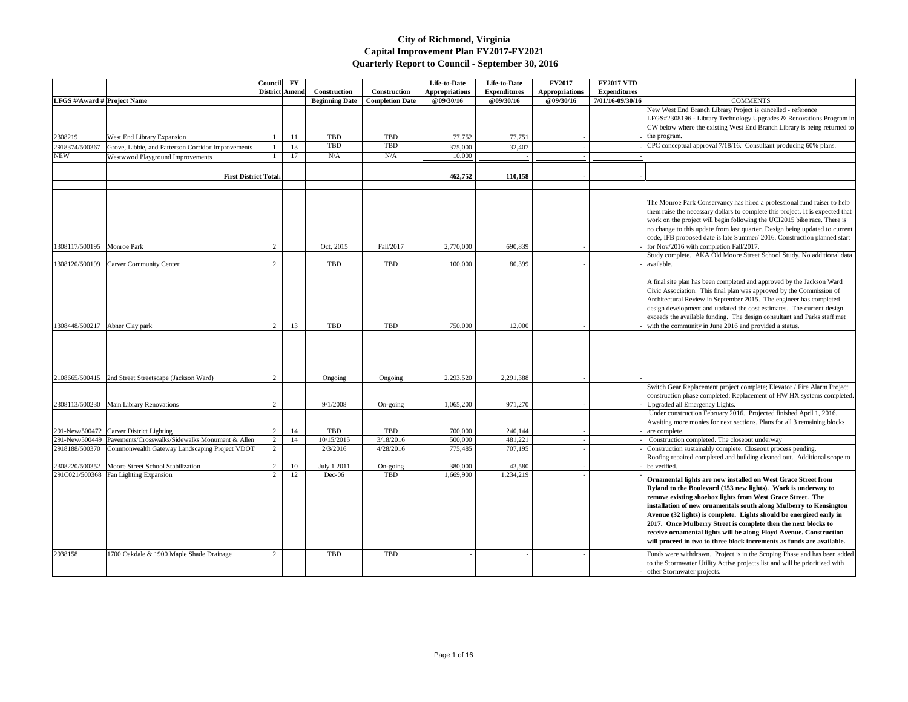|                                    |                                                                | <b>Council</b> | $\mathbf{F}\mathbf{Y}$ |                       |                        | Life-to-Date          | Life-to-Date        | <b>FY2017</b>         | <b>FY2017 YTD</b>   |                                                                                                                                                                                                                                                                                                                                                                                                                                                                                                                                                |
|------------------------------------|----------------------------------------------------------------|----------------|------------------------|-----------------------|------------------------|-----------------------|---------------------|-----------------------|---------------------|------------------------------------------------------------------------------------------------------------------------------------------------------------------------------------------------------------------------------------------------------------------------------------------------------------------------------------------------------------------------------------------------------------------------------------------------------------------------------------------------------------------------------------------------|
|                                    |                                                                | District Amend |                        | Construction          | Construction           | <b>Appropriations</b> | <b>Expenditures</b> | <b>Appropriations</b> | <b>Expenditures</b> |                                                                                                                                                                                                                                                                                                                                                                                                                                                                                                                                                |
| <b>LFGS</b> #/Award # Project Name |                                                                |                |                        | <b>Beginning Date</b> | <b>Completion Date</b> | <b>@09/30/16</b>      | @09/30/16           | @09/30/16             | 7/01/16-09/30/16    | <b>COMMENTS</b>                                                                                                                                                                                                                                                                                                                                                                                                                                                                                                                                |
|                                    |                                                                |                |                        |                       |                        |                       |                     |                       |                     | New West End Branch Library Project is cancelled - reference<br>LFGS#2308196 - Library Technology Upgrades & Renovations Prog<br>CW below where the existing West End Branch Library is being retur                                                                                                                                                                                                                                                                                                                                            |
| 2308219                            | West End Library Expansion                                     |                | -11                    | <b>TBD</b>            | TBD                    | 77,752                | 77,751              |                       |                     | the program.                                                                                                                                                                                                                                                                                                                                                                                                                                                                                                                                   |
| 2918374/500367                     | Grove, Libbie, and Patterson Corridor Improvements             |                | 13                     | <b>TBD</b>            | TBD                    | 375,000               | 32,407              |                       |                     | CPC conceptual approval 7/18/16. Consultant producing 60% plans.                                                                                                                                                                                                                                                                                                                                                                                                                                                                               |
| <b>NEW</b>                         | Westwwod Playground Improvements                               |                | 17                     | N/A                   | N/A                    | 10,000                |                     |                       |                     |                                                                                                                                                                                                                                                                                                                                                                                                                                                                                                                                                |
|                                    | <b>First District Total:</b>                                   |                |                        |                       |                        | 462,752               | 110,158             |                       |                     |                                                                                                                                                                                                                                                                                                                                                                                                                                                                                                                                                |
|                                    |                                                                |                |                        |                       |                        |                       |                     |                       |                     | The Monroe Park Conservancy has hired a professional fund raiser to<br>them raise the necessary dollars to complete this project. It is expecte<br>work on the project will begin following the UCI2015 bike race. The<br>no change to this update from last quarter. Design being updated to c<br>code, IFB proposed date is late Summer/ 2016. Construction planned                                                                                                                                                                          |
| 1308117/500195 Monroe Park         |                                                                | 2              |                        | Oct, 2015             | Fall/2017              | 2,770,000             | 690,839             |                       |                     | for Nov/2016 with completion Fall/2017.                                                                                                                                                                                                                                                                                                                                                                                                                                                                                                        |
| 1308120/500199                     | Carver Community Center                                        | 2              |                        | <b>TBD</b>            | TBD                    | 100,000               | 80,399              |                       |                     | Study complete. AKA Old Moore Street School Study. No additiona<br>available.                                                                                                                                                                                                                                                                                                                                                                                                                                                                  |
| 1308448/500217   Abner Clay park   |                                                                | $\overline{2}$ | 13                     | <b>TBD</b>            | TBD                    | 750,000               | 12,000              |                       |                     | A final site plan has been completed and approved by the Jackson Wa<br>Civic Association. This final plan was approved by the Commission<br>Architectural Review in September 2015. The engineer has complete<br>design development and updated the cost estimates. The current desi<br>exceeds the available funding. The design consultant and Parks staff<br>with the community in June 2016 and provided a status.                                                                                                                         |
|                                    |                                                                |                |                        |                       |                        |                       |                     |                       |                     |                                                                                                                                                                                                                                                                                                                                                                                                                                                                                                                                                |
|                                    | 2108665/500415   2nd Street Streetscape (Jackson Ward)         |                |                        | Ongoing               | Ongoing                | 2,293,520             | 2,291,388           |                       |                     |                                                                                                                                                                                                                                                                                                                                                                                                                                                                                                                                                |
|                                    | 2308113/500230 Main Library Renovations                        | $\overline{2}$ |                        | 9/1/2008              | On-going               | 1,065,200             | 971,270             |                       |                     | Switch Gear Replacement project complete; Elevator / Fire Alarm Pr<br>construction phase completed; Replacement of HW HX systems com<br>Upgraded all Emergency Lights.                                                                                                                                                                                                                                                                                                                                                                         |
|                                    | 291-New/500472 Carver District Lighting                        | 2              | 14                     | <b>TBD</b>            | TBD                    | 700,000               | 240,144             |                       |                     | Under construction February 2016. Projected finished April 1, 2016<br>Awaiting more monies for next sections. Plans for all 3 remaining blo<br>are complete.                                                                                                                                                                                                                                                                                                                                                                                   |
|                                    | 291-New/500449 Pavements/Crosswalks/Sidewalks Monument & Allen | 2              | 14                     | 10/15/2015            | 3/18/2016              | 500,000               | 481,221             |                       |                     | Construction completed. The closeout underway                                                                                                                                                                                                                                                                                                                                                                                                                                                                                                  |
|                                    | 2918188/500370 Commonwealth Gateway Landscaping Project VDOT   | $\overline{2}$ |                        | 2/3/2016              | 4/28/2016              | 775,485               | 707,195             |                       |                     | Construction sustainably complete. Closeout process pending.                                                                                                                                                                                                                                                                                                                                                                                                                                                                                   |
|                                    |                                                                |                |                        |                       |                        |                       |                     |                       |                     | Roofing repaired completed and building cleaned out. Additional sco                                                                                                                                                                                                                                                                                                                                                                                                                                                                            |
|                                    | 2308220/500352 Moore Street School Stabilization               | $\overline{2}$ | 10                     | July 1 2011           | On-going               | 380,000               | 43,580              |                       |                     | be verified.                                                                                                                                                                                                                                                                                                                                                                                                                                                                                                                                   |
|                                    | 291C021/500368   Fan Lighting Expansion                        |                | 12                     | $Dec-06$              | TBD                    | 1,669,900             | 1,234,219           |                       |                     | Ornamental lights are now installed on West Grace Street from<br>Ryland to the Boulevard (153 new lights). Work is underway to<br>remove existing shoebox lights from West Grace Street. The<br>installation of new ornamentals south along Mulberry to Kensing<br>Avenue (32 lights) is complete. Lights should be energized early<br>2017. Once Mulberry Street is complete then the next blocks to<br>receive ornamental lights will be along Floyd Avenue. Constructi<br>will proceed in two to three block increments as funds are availa |
| 2938158                            | 1700 Oakdale & 1900 Maple Shade Drainage                       | 2              |                        | <b>TBD</b>            | TBD                    |                       |                     |                       |                     | Funds were withdrawn. Project is in the Scoping Phase and has been<br>to the Stormwater Utility Active projects list and will be prioritized w<br>other Stormwater projects.                                                                                                                                                                                                                                                                                                                                                                   |

| 2017 YTD       |                                                                                                                                                                                                                                                                                                                                                                                                                                                                                                                                                            |
|----------------|------------------------------------------------------------------------------------------------------------------------------------------------------------------------------------------------------------------------------------------------------------------------------------------------------------------------------------------------------------------------------------------------------------------------------------------------------------------------------------------------------------------------------------------------------------|
| oenditures     |                                                                                                                                                                                                                                                                                                                                                                                                                                                                                                                                                            |
| 16-09/30/16    | <b>COMMENTS</b>                                                                                                                                                                                                                                                                                                                                                                                                                                                                                                                                            |
|                | New West End Branch Library Project is cancelled - reference                                                                                                                                                                                                                                                                                                                                                                                                                                                                                               |
|                | LFGS#2308196 - Library Technology Upgrades & Renovations Program in<br>CW below where the existing West End Branch Library is being returned to                                                                                                                                                                                                                                                                                                                                                                                                            |
|                | the program.                                                                                                                                                                                                                                                                                                                                                                                                                                                                                                                                               |
|                | CPC conceptual approval 7/18/16. Consultant producing 60% plans.                                                                                                                                                                                                                                                                                                                                                                                                                                                                                           |
|                |                                                                                                                                                                                                                                                                                                                                                                                                                                                                                                                                                            |
|                |                                                                                                                                                                                                                                                                                                                                                                                                                                                                                                                                                            |
|                |                                                                                                                                                                                                                                                                                                                                                                                                                                                                                                                                                            |
|                |                                                                                                                                                                                                                                                                                                                                                                                                                                                                                                                                                            |
|                | The Monroe Park Conservancy has hired a professional fund raiser to help<br>them raise the necessary dollars to complete this project. It is expected that<br>work on the project will begin following the UCI2015 bike race. There is<br>no change to this update from last quarter. Design being updated to current<br>code, IFB proposed date is late Summer/ 2016. Construction planned start<br>for Nov/2016 with completion Fall/2017.                                                                                                               |
|                | Study complete. AKA Old Moore Street School Study. No additional data<br>available.                                                                                                                                                                                                                                                                                                                                                                                                                                                                        |
|                | A final site plan has been completed and approved by the Jackson Ward<br>Civic Association. This final plan was approved by the Commission of<br>Architectural Review in September 2015. The engineer has completed<br>design development and updated the cost estimates. The current design<br>exceeds the available funding. The design consultant and Parks staff met<br>with the community in June 2016 and provided a status.                                                                                                                         |
|                |                                                                                                                                                                                                                                                                                                                                                                                                                                                                                                                                                            |
|                | Switch Gear Replacement project complete; Elevator / Fire Alarm Project<br>construction phase completed; Replacement of HW HX systems completed.<br>Upgraded all Emergency Lights.                                                                                                                                                                                                                                                                                                                                                                         |
|                | Under construction February 2016. Projected finished April 1, 2016.<br>Awaiting more monies for next sections. Plans for all 3 remaining blocks<br>are complete.                                                                                                                                                                                                                                                                                                                                                                                           |
| -              | Construction completed. The closeout underway                                                                                                                                                                                                                                                                                                                                                                                                                                                                                                              |
| $\blacksquare$ | Construction sustainably complete. Closeout process pending.                                                                                                                                                                                                                                                                                                                                                                                                                                                                                               |
|                | Roofing repaired completed and building cleaned out. Additional scope to<br>be verified.                                                                                                                                                                                                                                                                                                                                                                                                                                                                   |
|                | Ornamental lights are now installed on West Grace Street from<br>Ryland to the Boulevard (153 new lights). Work is underway to<br>remove existing shoebox lights from West Grace Street. The<br>installation of new ornamentals south along Mulberry to Kensington<br>Avenue (32 lights) is complete. Lights should be energized early in<br>2017. Once Mulberry Street is complete then the next blocks to<br>receive ornamental lights will be along Floyd Avenue. Construction<br>will proceed in two to three block increments as funds are available. |
|                | Funds were withdrawn. Project is in the Scoping Phase and has been added<br>to the Stormwater Utility Active projects list and will be prioritized with<br>other Stormwater projects.                                                                                                                                                                                                                                                                                                                                                                      |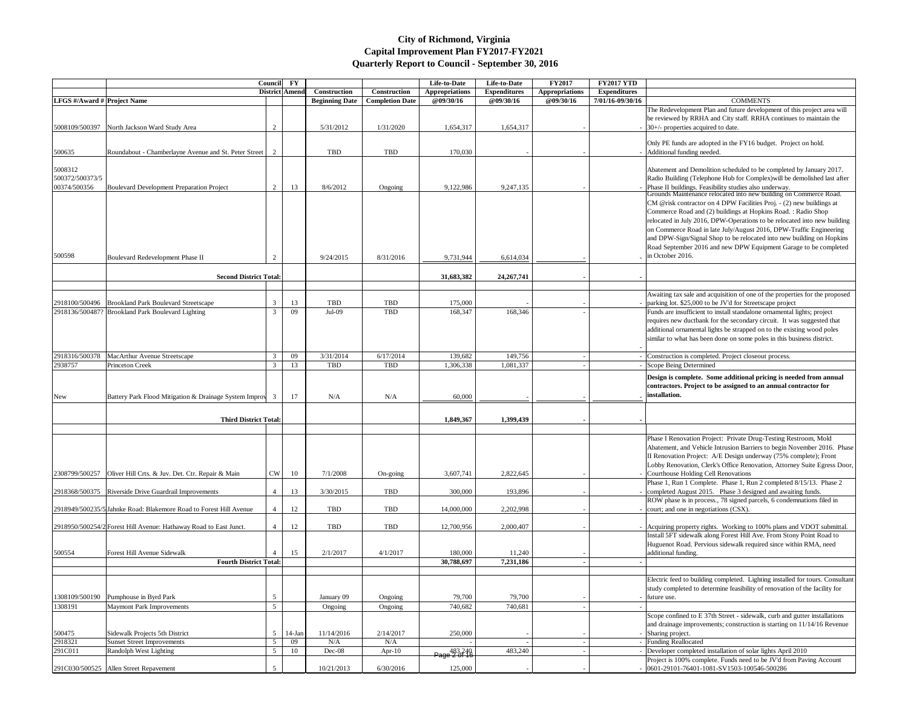|                                            |                                                                    |               | Council FY<br>District Amend | Construction          | Construction           | Life-to-Date<br><b>Appropriations</b> | Life-to-Date<br><b>Expenditures</b> | <b>FY2017</b><br><b>Appropriations</b> | <b>FY2017 YTD</b><br><b>Expenditures</b> |                                                                                                                                                                                                                                                                                                                                                                                                                                                         |
|--------------------------------------------|--------------------------------------------------------------------|---------------|------------------------------|-----------------------|------------------------|---------------------------------------|-------------------------------------|----------------------------------------|------------------------------------------|---------------------------------------------------------------------------------------------------------------------------------------------------------------------------------------------------------------------------------------------------------------------------------------------------------------------------------------------------------------------------------------------------------------------------------------------------------|
| LFGS #/Award # Project Name                |                                                                    |               |                              | <b>Beginning Date</b> | <b>Completion Date</b> | @09/30/16                             | @09/30/16                           | @09/30/16                              | 7/01/16-09/30/16                         | <b>COMMENTS</b>                                                                                                                                                                                                                                                                                                                                                                                                                                         |
| 5008109/500397                             | North Jackson Ward Study Area                                      | 2             |                              | 5/31/2012             | 1/31/2020              | 1,654,317                             | 1,654,317                           |                                        |                                          | The Redevelopment Plan and future development of this project area will<br>be reviewed by RRHA and City staff. RRHA continues to maintain the<br>$-$ 30+/- properties acquired to date.                                                                                                                                                                                                                                                                 |
| 500635                                     | Roundabout - Chamberlayne Avenue and St. Peter Street              |               |                              | TBD                   | TBD                    | 170,030                               |                                     |                                        |                                          | Only PE funds are adopted in the FY16 budget. Project on hold.<br>- Additional funding needed.                                                                                                                                                                                                                                                                                                                                                          |
|                                            |                                                                    |               |                              |                       |                        |                                       |                                     |                                        |                                          |                                                                                                                                                                                                                                                                                                                                                                                                                                                         |
| 5008312<br>500372/500373/5<br>00374/500356 | <b>Boulevard Development Preparation Project</b>                   | 2             | 13                           | 8/6/2012              | Ongoing                | 9,122,986                             | 9,247,135                           |                                        |                                          | Abatement and Demolition scheduled to be completed by January 2017.<br>Radio Building (Telephone Hub for Complex) will be demolished last after<br>Phase II buildings. Feasibility studies also underway.<br>Grounds Maintenance relocated into new building on Commerce Road.                                                                                                                                                                          |
| 500598                                     | Boulevard Redevelopment Phase II                                   |               |                              | 9/24/2015             | 8/31/2016              | 9,731,944                             | 6,614,034                           |                                        |                                          | CM @risk contractor on 4 DPW Facilities Proj. - (2) new buildings at<br>Commerce Road and (2) buildings at Hopkins Road.: Radio Shop<br>relocated in July 2016, DPW-Operations to be relocated into new building<br>on Commerce Road in late July/August 2016, DPW-Traffic Engineering<br>and DPW-Sign/Signal Shop to be relocated into new building on Hopkins<br>Road September 2016 and new DPW Equipment Garage to be completed<br>in October 2016. |
|                                            | <b>Second District Total:</b>                                      |               |                              |                       |                        | 31,683,382                            | 24, 267, 741                        |                                        |                                          |                                                                                                                                                                                                                                                                                                                                                                                                                                                         |
|                                            |                                                                    |               |                              |                       |                        |                                       |                                     |                                        |                                          |                                                                                                                                                                                                                                                                                                                                                                                                                                                         |
|                                            | 2918100/500496 Brookland Park Boulevard Streetscape                | 3             | 13                           | TBD                   | <b>TBD</b>             | 175,000                               |                                     |                                        |                                          | Awaiting tax sale and acquisition of one of the properties for the propose<br>parking lot. \$25,000 to be JV'd for Streetscape project                                                                                                                                                                                                                                                                                                                  |
|                                            | 2918136/500487? Brookland Park Boulevard Lighting                  | $\mathcal{R}$ | 09                           | $Jul-09$              | TBD                    | 168,347                               | 168,346                             |                                        |                                          | Funds are insufficient to install standalone ornamental lights; project<br>requires new ductbank for the secondary circuit. It was suggested that<br>additional ornamental lights be strapped on to the existing wood poles<br>similar to what has been done on some poles in this business district.                                                                                                                                                   |
| 2918316/500378                             | MacArthur Avenue Streetscape                                       |               | 09                           | 3/31/2014             | 6/17/2014              | 139,682                               | 149,756                             |                                        |                                          | Construction is completed. Project closeout process.                                                                                                                                                                                                                                                                                                                                                                                                    |
| 2938757                                    | Princeton Creek                                                    |               | 13                           | TBD                   | TBD                    | 1,306,338                             | 1,081,337                           |                                        |                                          | Scope Being Determined                                                                                                                                                                                                                                                                                                                                                                                                                                  |
| <b>New</b>                                 | Battery Park Flood Mitigation & Drainage System Improv 3           |               | 17                           | N/A                   | N/A                    | 60,000                                |                                     |                                        |                                          | Design is complete. Some additional pricing is needed from annual<br>contractors. Project to be assigned to an annual contractor for<br>installation.                                                                                                                                                                                                                                                                                                   |
|                                            |                                                                    |               |                              |                       |                        |                                       |                                     |                                        |                                          |                                                                                                                                                                                                                                                                                                                                                                                                                                                         |
|                                            | <b>Third District Total:</b>                                       |               |                              |                       |                        | 1,849,367                             | 1,399,439                           |                                        |                                          |                                                                                                                                                                                                                                                                                                                                                                                                                                                         |
|                                            |                                                                    |               |                              |                       |                        |                                       |                                     |                                        |                                          | Phase I Renovation Project: Private Drug-Testing Restroom, Mold<br>Abatement, and Vehicle Intrusion Barriers to begin November 2016. Pha<br>II Renovation Project: A/E Design underway (75% complete); Front<br>Lobby Renovation, Clerk's Office Renovation, Attorney Suite Egress Doo                                                                                                                                                                  |
|                                            | 2308799/500257 Oliver Hill Crts. & Juv. Det. Ctr. Repair & Main    | <b>CW</b>     | 10                           | 7/1/2008              | On-going               | 3,607,741                             | 2,822,645                           |                                        |                                          | Courthouse Holding Cell Renovations<br>Phase 1, Run 1 Complete. Phase 1, Run 2 completed 8/15/13. Phase 2                                                                                                                                                                                                                                                                                                                                               |
|                                            | 2918368/500375 Riverside Drive Guardrail Improvements              |               | 13                           | 3/30/2015             | TBD                    | 300,000                               | 193,896                             |                                        |                                          | completed August 2015. Phase 3 designed and awaiting funds.                                                                                                                                                                                                                                                                                                                                                                                             |
|                                            | 2918949/500235/5 Jahnke Road: Blakemore Road to Forest Hill Avenue |               | 12                           | TBD                   | <b>TBD</b>             | 14,000,000                            | 2,202,998                           |                                        |                                          | ROW phase is in process., 78 signed parcels, 6 condemnations filed in<br>court; and one in negotiations (CSX).                                                                                                                                                                                                                                                                                                                                          |
|                                            | 2918950/500254/2 Forest Hill Avenue: Hathaway Road to East Junct.  |               | 12                           | TBD                   | <b>TBD</b>             | 12,700,956                            | 2,000,407                           |                                        |                                          | - Acquiring property rights. Working to 100% plans and VDOT submittal.                                                                                                                                                                                                                                                                                                                                                                                  |
| 500554                                     | Forest Hill Avenue Sidewalk                                        |               | 15                           | 2/1/2017              | 4/1/2017               | 180,000                               | 11,240                              |                                        |                                          | Install 5FT sidewalk along Forest Hill Ave. From Stony Point Road to<br>Huguenot Road. Pervious sidewalk required since within RMA, need<br>additional funding.                                                                                                                                                                                                                                                                                         |
|                                            | <b>Fourth District Total:</b>                                      |               |                              |                       |                        | 30,788,697                            | 7,231,186                           |                                        |                                          |                                                                                                                                                                                                                                                                                                                                                                                                                                                         |
|                                            |                                                                    |               |                              |                       |                        |                                       |                                     |                                        |                                          |                                                                                                                                                                                                                                                                                                                                                                                                                                                         |
| 1308109/500190                             | Pumphouse in Byrd Park                                             | 5             |                              | January 09            | Ongoing                | 79,700                                | 79,700                              |                                        |                                          | Electric feed to building completed. Lighting installed for tours. Consulta<br>study completed to determine feasibility of renovation of the facility for<br>future use.                                                                                                                                                                                                                                                                                |
| 1308191                                    | <b>Maymont Park Improvements</b>                                   | 5             |                              | Ongoing               | Ongoing                | 740,682                               | 740,681                             |                                        |                                          |                                                                                                                                                                                                                                                                                                                                                                                                                                                         |
| 500475                                     | Sidewalk Projects 5th District                                     | 5             | $14$ -Jan                    | 11/14/2016            | 2/14/2017              | 250,000                               |                                     |                                        |                                          | Scope confined to E 37th Street - sidewalk, curb and gutter installations<br>and drainage improvements; construction is starting on 11/14/16 Revenue<br>- Sharing project.                                                                                                                                                                                                                                                                              |
| 2918321                                    | <b>Sunset Street Improvements</b>                                  |               | 09                           | N/A                   | N/A                    |                                       |                                     |                                        |                                          | Funding Reallocated                                                                                                                                                                                                                                                                                                                                                                                                                                     |
| 291C011                                    | Randolph West Lighting                                             | -5            | 10                           | Dec-08                | Apr- $10$              | 483,240<br>Page 2 of 16               | 483,240                             |                                        |                                          | Developer completed installation of solar lights April 2010<br>Project is 100% complete. Funds need to be JV'd from Paving Account                                                                                                                                                                                                                                                                                                                      |
|                                            | 291C030/500525 Allen Street Repavement                             |               |                              | 10/21/2013            | 6/30/2016              | 125,000                               |                                     |                                        |                                          | 0601-29101-76401-1081-SV1503-100546-500286                                                                                                                                                                                                                                                                                                                                                                                                              |

| 17 YTD          |                                                                                                                                                 |
|-----------------|-------------------------------------------------------------------------------------------------------------------------------------------------|
| nditures        |                                                                                                                                                 |
| 5-09/30/16      | <b>COMMENTS</b>                                                                                                                                 |
|                 | The Redevelopment Plan and future development of this project area will                                                                         |
|                 | be reviewed by RRHA and City staff. RRHA continues to maintain the                                                                              |
|                 | 30+/- properties acquired to date.                                                                                                              |
|                 |                                                                                                                                                 |
|                 | Only PE funds are adopted in the FY16 budget. Project on hold.                                                                                  |
|                 | Additional funding needed.                                                                                                                      |
|                 |                                                                                                                                                 |
|                 | Abatement and Demolition scheduled to be completed by January 2017.<br>Radio Building (Telephone Hub for Complex) will be demolished last after |
| -               | Phase II buildings. Feasibility studies also underway.                                                                                          |
|                 | Grounds Maintenance relocated into new building on Commerce Road.                                                                               |
|                 | CM @risk contractor on 4 DPW Facilities Proj. - (2) new buildings at                                                                            |
|                 | Commerce Road and (2) buildings at Hopkins Road. : Radio Shop                                                                                   |
|                 | relocated in July 2016, DPW-Operations to be relocated into new building                                                                        |
|                 | on Commerce Road in late July/August 2016, DPW-Traffic Engineering                                                                              |
|                 | and DPW-Sign/Signal Shop to be relocated into new building on Hopkins                                                                           |
|                 | Road September 2016 and new DPW Equipment Garage to be completed                                                                                |
|                 | in October 2016.                                                                                                                                |
|                 |                                                                                                                                                 |
|                 |                                                                                                                                                 |
|                 |                                                                                                                                                 |
|                 | Awaiting tax sale and acquisition of one of the properties for the proposed                                                                     |
|                 | parking lot. \$25,000 to be JV'd for Streetscape project                                                                                        |
|                 | Funds are insufficient to install standalone ornamental lights; project                                                                         |
|                 | requires new ductbank for the secondary circuit. It was suggested that                                                                          |
|                 | additional ornamental lights be strapped on to the existing wood poles                                                                          |
|                 | similar to what has been done on some poles in this business district.                                                                          |
|                 |                                                                                                                                                 |
| $\qquad \qquad$ | Construction is completed. Project closeout process.                                                                                            |
|                 | Scope Being Determined                                                                                                                          |
|                 |                                                                                                                                                 |
|                 | Design is complete. Some additional pricing is needed from annual<br>contractors. Project to be assigned to an annual contractor for            |
|                 | installation.                                                                                                                                   |
|                 |                                                                                                                                                 |
|                 |                                                                                                                                                 |
|                 |                                                                                                                                                 |
|                 |                                                                                                                                                 |
|                 | Phase I Renovation Project: Private Drug-Testing Restroom, Mold                                                                                 |
|                 | Abatement, and Vehicle Intrusion Barriers to begin November 2016. Phase                                                                         |
|                 | II Renovation Project: A/E Design underway (75% complete); Front                                                                                |
|                 | Lobby Renovation, Clerk's Office Renovation, Attorney Suite Egress Door,                                                                        |
|                 | Courthouse Holding Cell Renovations                                                                                                             |
|                 | Phase 1, Run 1 Complete. Phase 1, Run 2 completed 8/15/13. Phase 2                                                                              |
|                 | completed August 2015. Phase 3 designed and awaiting funds.                                                                                     |
|                 | ROW phase is in process., 78 signed parcels, 6 condemnations filed in                                                                           |
| $\qquad \qquad$ | court; and one in negotiations (CSX).                                                                                                           |
|                 |                                                                                                                                                 |
|                 | Acquiring property rights. Working to 100% plans and VDOT submittal.                                                                            |
|                 | Install 5FT sidewalk along Forest Hill Ave. From Stony Point Road to                                                                            |
|                 | Huguenot Road. Pervious sidewalk required since within RMA, need                                                                                |
|                 | additional funding.                                                                                                                             |
|                 |                                                                                                                                                 |
|                 |                                                                                                                                                 |
|                 | Electric feed to building completed. Lighting installed for tours. Consultant                                                                   |
|                 | study completed to determine feasibility of renovation of the facility for                                                                      |
|                 | future use.                                                                                                                                     |
|                 |                                                                                                                                                 |
|                 | Scope confined to E 37th Street - sidewalk, curb and gutter installations                                                                       |
|                 | and drainage improvements; construction is starting on 11/14/16 Revenue                                                                         |
| $\overline{a}$  | Sharing project.                                                                                                                                |
|                 | <b>Funding Reallocated</b>                                                                                                                      |
|                 | Developer completed installation of solar lights April 2010                                                                                     |
|                 | Project is 100% complete. Funds need to be JV'd from Paving Account                                                                             |
|                 | 0601-29101-76401-1081-SV1503-100546-500286                                                                                                      |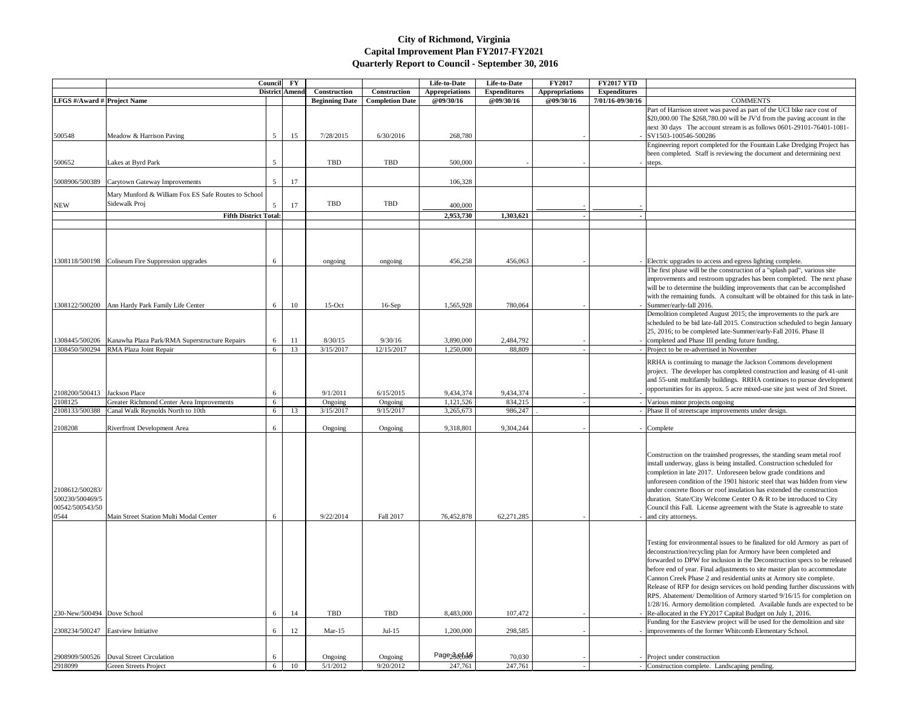|                                                               |                                                                                                         | Council        | $\mathbf{F}\mathbf{Y}$<br><b>District Amend</b> | Construction          | Construction           | Life-to-Date<br><b>Appropriations</b> | Life-to-Date<br><b>Expenditures</b> | <b>FY2017</b><br><b>Appropriations</b> | <b>FY2017 YTD</b><br><b>Expenditures</b> |                                                                                                                                                                                                                                                                                                                                                                                                                                                                                      |
|---------------------------------------------------------------|---------------------------------------------------------------------------------------------------------|----------------|-------------------------------------------------|-----------------------|------------------------|---------------------------------------|-------------------------------------|----------------------------------------|------------------------------------------|--------------------------------------------------------------------------------------------------------------------------------------------------------------------------------------------------------------------------------------------------------------------------------------------------------------------------------------------------------------------------------------------------------------------------------------------------------------------------------------|
| LFGS #/Award # Project Name                                   |                                                                                                         |                |                                                 | <b>Beginning Date</b> | <b>Completion Date</b> | @09/30/16                             | @09/30/16                           | @09/30/16                              | 7/01/16-09/30/16                         | <b>COMMENTS</b><br>Part of Harrison street was paved as part of the UCI bike                                                                                                                                                                                                                                                                                                                                                                                                         |
| 500548                                                        | Meadow & Harrison Paving                                                                                | 5 <sup>5</sup> | 15                                              | 7/28/2015             | 6/30/2016              | 268,780                               |                                     |                                        |                                          | \$20,000.00 The \$268,780.00 will be JV'd from the pavin<br>next 30 days The account stream is as follows 0601-29<br>$-$ SV1503-100546-500286<br>Engineering report completed for the Fountain Lake Dre                                                                                                                                                                                                                                                                              |
| 500652                                                        | Lakes at Byrd Park                                                                                      | 5              |                                                 | <b>TBD</b>            | <b>TBD</b>             | 500,000                               |                                     |                                        |                                          | been completed. Staff is reviewing the document and de<br>steps.                                                                                                                                                                                                                                                                                                                                                                                                                     |
| 5008906/500389                                                | Carytown Gateway Improvements                                                                           | $\mathfrak{S}$ | 17                                              |                       |                        | 106,328                               |                                     |                                        |                                          |                                                                                                                                                                                                                                                                                                                                                                                                                                                                                      |
| <b>NEW</b>                                                    | Mary Munford & William Fox ES Safe Routes to School<br>Sidewalk Proj                                    | 5              | 17                                              | TBD                   | TBD                    | 400,000                               |                                     |                                        |                                          |                                                                                                                                                                                                                                                                                                                                                                                                                                                                                      |
|                                                               | <b>Fifth District Total:</b>                                                                            |                |                                                 |                       |                        | 2,953,730                             | 1,303,621                           |                                        |                                          |                                                                                                                                                                                                                                                                                                                                                                                                                                                                                      |
|                                                               |                                                                                                         |                |                                                 |                       |                        |                                       |                                     |                                        |                                          |                                                                                                                                                                                                                                                                                                                                                                                                                                                                                      |
|                                                               | 1308118/500198 Coliseum Fire Suppression upgrades                                                       | 6              |                                                 | ongoing               | ongoing                | 456,258                               | 456,063                             |                                        |                                          | - Electric upgrades to access and egress lighting complete.<br>The first phase will be the construction of a "splash pad".                                                                                                                                                                                                                                                                                                                                                           |
|                                                               |                                                                                                         |                |                                                 |                       |                        |                                       |                                     |                                        |                                          | improvements and restroom upgrades has been complete<br>will be to determine the building improvements that can l<br>with the remaining funds. A consultant will be obtained                                                                                                                                                                                                                                                                                                         |
|                                                               | 1308122/500200 Ann Hardy Park Family Life Center                                                        | 6              | 10                                              | $15$ -Oct             | $16-Sep$               | 1,565,928                             | 780,064                             |                                        |                                          | - Summer/early-fall 2016.                                                                                                                                                                                                                                                                                                                                                                                                                                                            |
|                                                               |                                                                                                         |                |                                                 |                       |                        |                                       |                                     |                                        |                                          | Demolition completed August 2015; the improvements to<br>scheduled to be bid late-fall 2015. Construction schedule<br>25, 2016; to be completed late-Summer/early-Fall 2016.                                                                                                                                                                                                                                                                                                         |
|                                                               | 1308445/500206   Kanawha Plaza Park/RMA Superstructure Repairs<br>1308450/500294 RMA Plaza Joint Repair | 6<br>6         | 11<br>13                                        | 8/30/15<br>3/15/2017  | 9/30/16<br>12/15/2017  | 3,890,000<br>1,250,000                | 2,484,792<br>88,809                 |                                        |                                          | completed and Phase III pending future funding.<br>- Project to be re-advertised in November                                                                                                                                                                                                                                                                                                                                                                                         |
| 2108200/500413 Jackson Place                                  |                                                                                                         | 6              |                                                 | 9/1/2011              | 6/15/2015              | 9,434,374                             | 9,434,374                           |                                        |                                          | RRHA is continuing to manage the Jackson Commons de<br>project. The developer has completed construction and 1<br>and 55-unit multifamily buildings. RRHA continues to p<br>opportunities for its approx. 5 acre mixed-use site just w                                                                                                                                                                                                                                               |
| 2108125                                                       | Greater Richmond Center Area Improvements                                                               | 6              |                                                 | Ongoing               | Ongoing                | 1,121,526                             | 834,215                             |                                        |                                          | - Various minor projects ongoing                                                                                                                                                                                                                                                                                                                                                                                                                                                     |
| 2108133/500388                                                | Canal Walk Reynolds North to 10th                                                                       | 6              | 13                                              | 3/15/2017             | 9/15/2017              | 3,265,673                             | 986,247                             |                                        |                                          | Phase II of streetscape improvements under design.                                                                                                                                                                                                                                                                                                                                                                                                                                   |
| 2108208                                                       | <b>Riverfront Development Area</b>                                                                      | 6              |                                                 | Ongoing               | Ongoing                | 9,318,801                             | 9,304,244                           |                                        |                                          | - Complete                                                                                                                                                                                                                                                                                                                                                                                                                                                                           |
| 2108612/500283/<br>500230/500469/5<br>00542/500543/50<br>0544 | Main Street Station Multi Modal Center                                                                  | 6              |                                                 | 9/22/2014             | Fall 2017              | 76,452,878                            | 62,271,285                          |                                        |                                          | Construction on the trainshed progresses, the standing se<br>install underway, glass is being installed. Construction sc<br>completion in late 2017. Unforeseen below grade condit<br>unforeseen condition of the 1901 historic steel that was h<br>under concrete floors or roof insulation has extended the<br>duration. State/City Welcome Center O & R to be introd<br>Council this Fall. License agreement with the State is ag<br>and city attorneys.                          |
|                                                               |                                                                                                         |                |                                                 |                       |                        |                                       |                                     |                                        |                                          | Testing for environmental issues to be finalized for old A<br>deconstruction/recycling plan for Armory have been com<br>forwarded to DPW for inclusion in the Deconstruction sp<br>before end of year. Final adjustments to site master plan<br>Cannon Creek Phase 2 and residential units at Armory si<br>Release of RFP for design services on hold pending furth<br>RPS. Abatement/ Demolition of Armory started 9/16/15<br>1/28/16. Armory demolition completed. Available funds |
| 230-New/500494 Dove School                                    |                                                                                                         | 6              | 14                                              | <b>TBD</b>            | <b>TBD</b>             | 8,483,000                             | 107,472                             |                                        |                                          | - Re-allocated in the FY2017 Capital Budget on July 1, 20                                                                                                                                                                                                                                                                                                                                                                                                                            |
|                                                               | 2308234/500247 Eastview Initiative                                                                      | 6              | 12                                              | $Mar-15$              | $Jul-15$               | 1,200,000                             | 298,585                             |                                        |                                          | Funding for the Eastview project will be used for the den<br>- improvements of the former Whitcomb Elementary Scho                                                                                                                                                                                                                                                                                                                                                                   |
|                                                               |                                                                                                         |                |                                                 |                       |                        |                                       |                                     |                                        |                                          |                                                                                                                                                                                                                                                                                                                                                                                                                                                                                      |
| 2918099                                                       | 2908909/500526   Duval Street Circulation<br>Green Streets Project                                      | 6<br>6         | 10                                              | Ongoing<br>5/1/2012   | Ongoing<br>9/20/2012   | Page <sub>230,00</sub><br>247,761     | 70,030<br>247,761                   |                                        |                                          | - Project under construction<br>- Construction complete. Landscaping pending.                                                                                                                                                                                                                                                                                                                                                                                                        |

| ' YTD              |                                                                                                                                                                                                                                                                                                                                                                                                                                                                                                                                                                                                                                                                                   |
|--------------------|-----------------------------------------------------------------------------------------------------------------------------------------------------------------------------------------------------------------------------------------------------------------------------------------------------------------------------------------------------------------------------------------------------------------------------------------------------------------------------------------------------------------------------------------------------------------------------------------------------------------------------------------------------------------------------------|
| litures<br>9/30/16 | <b>COMMENTS</b>                                                                                                                                                                                                                                                                                                                                                                                                                                                                                                                                                                                                                                                                   |
|                    | Part of Harrison street was paved as part of the UCI bike race cost of<br>\$20,000.00 The \$268,780.00 will be JV'd from the paving account in the<br>next 30 days The account stream is as follows 0601-29101-76401-1081-<br>SV1503-100546-500286                                                                                                                                                                                                                                                                                                                                                                                                                                |
|                    | Engineering report completed for the Fountain Lake Dredging Project has<br>been completed. Staff is reviewing the document and determining next<br>steps.                                                                                                                                                                                                                                                                                                                                                                                                                                                                                                                         |
|                    |                                                                                                                                                                                                                                                                                                                                                                                                                                                                                                                                                                                                                                                                                   |
|                    |                                                                                                                                                                                                                                                                                                                                                                                                                                                                                                                                                                                                                                                                                   |
|                    |                                                                                                                                                                                                                                                                                                                                                                                                                                                                                                                                                                                                                                                                                   |
|                    |                                                                                                                                                                                                                                                                                                                                                                                                                                                                                                                                                                                                                                                                                   |
|                    | Electric upgrades to access and egress lighting complete.                                                                                                                                                                                                                                                                                                                                                                                                                                                                                                                                                                                                                         |
|                    | The first phase will be the construction of a "splash pad", various site                                                                                                                                                                                                                                                                                                                                                                                                                                                                                                                                                                                                          |
|                    | improvements and restroom upgrades has been completed. The next phase<br>will be to determine the building improvements that can be accomplished<br>with the remaining funds. A consultant will be obtained for this task in late-<br>Summer/early-fall 2016.                                                                                                                                                                                                                                                                                                                                                                                                                     |
|                    | Demolition completed August 2015; the improvements to the park are<br>scheduled to be bid late-fall 2015. Construction scheduled to begin January<br>25, 2016; to be completed late-Summer/early-Fall 2016. Phase II<br>completed and Phase III pending future funding.                                                                                                                                                                                                                                                                                                                                                                                                           |
|                    | Project to be re-advertised in November                                                                                                                                                                                                                                                                                                                                                                                                                                                                                                                                                                                                                                           |
|                    | RRHA is continuing to manage the Jackson Commons development<br>project. The developer has completed construction and leasing of 41-unit<br>and 55-unit multifamily buildings. RRHA continues to pursue development<br>opportunities for its approx. 5 acre mixed-use site just west of 3rd Street.                                                                                                                                                                                                                                                                                                                                                                               |
| -                  | Various minor projects ongoing                                                                                                                                                                                                                                                                                                                                                                                                                                                                                                                                                                                                                                                    |
|                    | Phase II of streetscape improvements under design.                                                                                                                                                                                                                                                                                                                                                                                                                                                                                                                                                                                                                                |
|                    | Complete                                                                                                                                                                                                                                                                                                                                                                                                                                                                                                                                                                                                                                                                          |
|                    | Construction on the trainshed progresses, the standing seam metal roof<br>install underway, glass is being installed. Construction scheduled for<br>completion in late 2017. Unforeseen below grade conditions and<br>unforeseen condition of the 1901 historic steel that was hidden from view<br>under concrete floors or roof insulation has extended the construction<br>duration. State/City Welcome Center O & R to be introduced to City<br>Council this Fall. License agreement with the State is agreeable to state<br>and city attorneys.                                                                                                                               |
|                    | Testing for environmental issues to be finalized for old Armory as part of<br>deconstruction/recycling plan for Armory have been completed and<br>forwarded to DPW for inclusion in the Deconstruction specs to be released<br>before end of year. Final adjustments to site master plan to accommodate<br>Cannon Creek Phase 2 and residential units at Armory site complete.<br>Release of RFP for design services on hold pending further discussions with<br>RPS. Abatement/ Demolition of Armory started 9/16/15 for completion on<br>1/28/16. Armory demolition completed. Available funds are expected to be<br>Re-allocated in the FY2017 Capital Budget on July 1, 2016. |
|                    | Funding for the Eastview project will be used for the demolition and site<br>improvements of the former Whitcomb Elementary School.                                                                                                                                                                                                                                                                                                                                                                                                                                                                                                                                               |
|                    | Project under construction<br>Construction complete. Landscaping pending.                                                                                                                                                                                                                                                                                                                                                                                                                                                                                                                                                                                                         |
|                    |                                                                                                                                                                                                                                                                                                                                                                                                                                                                                                                                                                                                                                                                                   |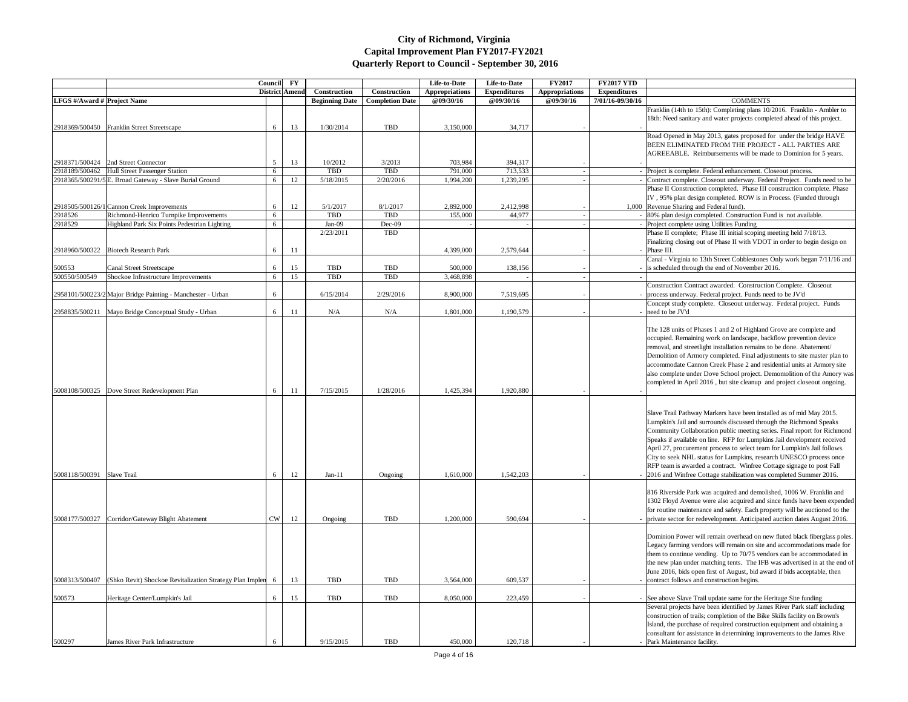| <b>LFGS</b> #/Award # Project Name |                                                                                     | Council<br>District Amend | $\mathbf{F}\mathbf{Y}$ | Construction<br><b>Beginning Date</b> | <b>Construction</b><br><b>Completion Date</b> | Life-to-Date<br><b>Appropriations</b><br><b>@09/30/16</b> | Life-to-Date<br><b>Expenditures</b><br>@09/30/16 | <b>FY2017</b><br><b>Appropriations</b><br>@09/30/16 | <b>FY2017 YTD</b><br><b>Expenditures</b><br>7/01/16-09/30/16 | <b>COMMENTS</b>                                                                                                                                                                                                                                                                                                                                                                                                                                                                                                                                                                                   |
|------------------------------------|-------------------------------------------------------------------------------------|---------------------------|------------------------|---------------------------------------|-----------------------------------------------|-----------------------------------------------------------|--------------------------------------------------|-----------------------------------------------------|--------------------------------------------------------------|---------------------------------------------------------------------------------------------------------------------------------------------------------------------------------------------------------------------------------------------------------------------------------------------------------------------------------------------------------------------------------------------------------------------------------------------------------------------------------------------------------------------------------------------------------------------------------------------------|
|                                    |                                                                                     |                           |                        |                                       |                                               |                                                           |                                                  |                                                     |                                                              | Franklin (14th to 15th): Completing plans 10/2016. Franklin - Ambler to                                                                                                                                                                                                                                                                                                                                                                                                                                                                                                                           |
|                                    |                                                                                     |                           |                        |                                       | <b>TBD</b>                                    |                                                           |                                                  |                                                     |                                                              | 18th: Need sanitary and water projects completed ahead of this project.                                                                                                                                                                                                                                                                                                                                                                                                                                                                                                                           |
|                                    | 2918369/500450 Franklin Street Streetscape                                          | 6                         | 13                     | 1/30/2014                             |                                               | 3,150,000                                                 | 34,717                                           |                                                     |                                                              | Road Opened in May 2013, gates proposed for under the bridge HAVE<br>BEEN ELIMINATED FROM THE PROJECT - ALL PARTIES ARE                                                                                                                                                                                                                                                                                                                                                                                                                                                                           |
|                                    |                                                                                     |                           |                        |                                       |                                               |                                                           |                                                  |                                                     |                                                              | AGREEABLE. Reimbursements will be made to Dominion for 5 years.                                                                                                                                                                                                                                                                                                                                                                                                                                                                                                                                   |
|                                    | 2918371/500424 2nd Street Connector<br>2918189/500462 Hull Street Passenger Station | .5                        | 13                     | 10/2012<br>TBD                        | 3/2013<br><b>TBD</b>                          | 703,984<br>791,000                                        | 394,317<br>713,533                               |                                                     |                                                              | Project is complete. Federal enhancement. Closeout process.                                                                                                                                                                                                                                                                                                                                                                                                                                                                                                                                       |
|                                    | 2918365/500291/5 E. Broad Gateway - Slave Burial Ground                             | 6<br>6                    | 12                     | 5/18/2015                             | 2/20/2016                                     | 1,994,200                                                 | 1,239,295                                        |                                                     |                                                              | - Contract complete. Closeout underway. Federal Project. Funds need to be                                                                                                                                                                                                                                                                                                                                                                                                                                                                                                                         |
|                                    |                                                                                     |                           |                        |                                       |                                               |                                                           |                                                  |                                                     |                                                              | Phase II Construction completed. Phase III construction complete. Phase                                                                                                                                                                                                                                                                                                                                                                                                                                                                                                                           |
|                                    |                                                                                     |                           |                        |                                       |                                               |                                                           |                                                  |                                                     |                                                              | IV, 95% plan design completed. ROW is in Process. (Funded through                                                                                                                                                                                                                                                                                                                                                                                                                                                                                                                                 |
|                                    | 2918505/500126/1 Cannon Creek Improvements                                          | 6                         | 12                     | 5/1/2017                              | 8/1/2017                                      | 2,892,000                                                 | 2,412,998                                        |                                                     |                                                              | 1,000 Revenue Sharing and Federal fund).                                                                                                                                                                                                                                                                                                                                                                                                                                                                                                                                                          |
| 2918526                            | Richmond-Henrico Turnpike Improvements                                              | 6                         |                        | TBD                                   | <b>TBD</b>                                    | 155,000                                                   | 44,977                                           |                                                     |                                                              | - 80% plan design completed. Construction Fund is not available.                                                                                                                                                                                                                                                                                                                                                                                                                                                                                                                                  |
| 2918529                            | Highland Park Six Points Pedestrian Lighting                                        | 6                         |                        | Jan-09<br>2/23/2011                   | Dec-09<br><b>TBD</b>                          |                                                           |                                                  |                                                     |                                                              | - Project complete using Utilities Funding<br>Phase II complete; Phase III initial scoping meeting held 7/18/13.                                                                                                                                                                                                                                                                                                                                                                                                                                                                                  |
|                                    | 2918960/500322   Biotech Research Park                                              | 6                         | 11                     |                                       |                                               | 4,399,000                                                 | 2,579,644                                        |                                                     |                                                              | Finalizing closing out of Phase II with VDOT in order to begin design on<br>$-$ Phase III.                                                                                                                                                                                                                                                                                                                                                                                                                                                                                                        |
|                                    |                                                                                     |                           |                        |                                       |                                               |                                                           |                                                  |                                                     |                                                              | Canal - Virginia to 13th Street Cobblestones Only work began 7/11/16 and                                                                                                                                                                                                                                                                                                                                                                                                                                                                                                                          |
| 500553                             | <b>Canal Street Streetscape</b>                                                     | 6                         | 15                     | TBD                                   | <b>TBD</b>                                    | 500,000                                                   | 138,156                                          |                                                     |                                                              | is scheduled through the end of November 2016.                                                                                                                                                                                                                                                                                                                                                                                                                                                                                                                                                    |
| 500550/500549                      | Shockoe Infrastructure Improvements                                                 | 6                         | 15                     | <b>TBD</b>                            | <b>TBD</b>                                    | 3,468,898                                                 |                                                  |                                                     |                                                              | Construction Contract awarded. Construction Complete. Closeout                                                                                                                                                                                                                                                                                                                                                                                                                                                                                                                                    |
|                                    | 2958101/500223/2 Major Bridge Painting - Manchester - Urban                         | 6                         |                        | 6/15/2014                             | 2/29/2016                                     | 8,900,000                                                 | 7,519,695                                        |                                                     |                                                              | process underway. Federal project. Funds need to be JV'd                                                                                                                                                                                                                                                                                                                                                                                                                                                                                                                                          |
|                                    | 2958835/500211   Mayo Bridge Conceptual Study - Urban                               | 6                         | 11                     | N/A                                   | N/A                                           | 1,801,000                                                 | 1,190,579                                        |                                                     |                                                              | Concept study complete. Closeout underway. Federal project. Funds<br>- $\vert$ need to be JV'd                                                                                                                                                                                                                                                                                                                                                                                                                                                                                                    |
|                                    | 5008108/500325 Dove Street Redevelopment Plan                                       | 6                         | 11                     | 7/15/2015                             | 1/28/2016                                     | 1,425,394                                                 | 1,920,880                                        |                                                     |                                                              | The 128 units of Phases 1 and 2 of Highland Grove are complete and<br>occupied. Remaining work on landscape, backflow prevention device<br>removal, and streetlight installation remains to be done. Abatement/<br>Demolition of Armory completed. Final adjustments to site master plan to<br>accommodate Cannon Creek Phase 2 and residential units at Armory site<br>also complete under Dove School project. Demomolition of the Amory was<br>completed in April 2016, but site cleanup and project closeout ongoing.                                                                         |
| 5008118/500391 Slave Trail         |                                                                                     | 6                         | 12                     | $Jan-11$                              | Ongoing                                       | 1,610,000                                                 | 1,542,203                                        |                                                     |                                                              | Slave Trail Pathway Markers have been installed as of mid May 2015.<br>Lumpkin's Jail and surrounds discussed through the Richmond Speaks<br>Community Collaboration public meeting series. Final report for Richmond<br>Speaks if available on line. RFP for Lumpkins Jail development received<br>April 27, procurement process to select team for Lumpkin's Jail follows.<br>City to seek NHL status for Lumpkins, research UNESCO process once<br>RFP team is awarded a contract. Winfree Cottage signage to post Fall<br>- 2016 and Winfree Cottage stabilization was completed Summer 2016. |
|                                    | 5008177/500327 Corridor/Gateway Blight Abatement                                    | <b>CW</b>                 | 12                     | Ongoing                               | <b>TBD</b>                                    | 1,200,000                                                 | 590,694                                          |                                                     |                                                              | 816 Riverside Park was acquired and demolished, 1006 W. Franklin and<br>1302 Floyd Avenue were also acquired and since funds have been expended<br>for routine maintenance and safety. Each property will be auctioned to the<br>private sector for redevelopment. Anticipated auction dates August 2016.                                                                                                                                                                                                                                                                                         |
| 5008313/500407                     | (Shko Revit) Shockoe Revitalization Strategy Plan Implen 6                          |                           | 13                     | <b>TBD</b>                            | <b>TBD</b>                                    | 3,564,000                                                 | 609,537                                          |                                                     |                                                              | Dominion Power will remain overhead on new fluted black fiberglass poles.<br>Legacy farming vendors will remain on site and accommodations made for<br>them to continue vending. Up to 70/75 vendors can be accommodated in<br>the new plan under matching tents. The IFB was advertised in at the end of<br>June 2016, bids open first of August, bid award if bids acceptable, then<br>- contract follows and construction begins.                                                                                                                                                              |
|                                    |                                                                                     |                           |                        | <b>TBD</b>                            | <b>TBD</b>                                    |                                                           |                                                  |                                                     |                                                              |                                                                                                                                                                                                                                                                                                                                                                                                                                                                                                                                                                                                   |
| 500573                             | Heritage Center/Lumpkin's Jail                                                      | 6                         | 15                     |                                       |                                               | 8,050,000                                                 | 223,459                                          |                                                     |                                                              | - See above Slave Trail update same for the Heritage Site funding<br>Several projects have been identified by James River Park staff including<br>construction of trails; completion of the Bike Skills facility on Brown's<br>Island, the purchase of required construction equipment and obtaining a<br>consultant for assistance in determining improvements to the James Rive                                                                                                                                                                                                                 |
| 500297                             | James River Park Infrastructure                                                     | -6                        |                        | 9/15/2015                             | TBD                                           | 450,000                                                   | 120,718                                          |                                                     |                                                              | - Park Maintenance facility.                                                                                                                                                                                                                                                                                                                                                                                                                                                                                                                                                                      |

| 017 YTD    |                                                                                                                                                                                                                                                                                                                                                                                                                                                                                                                                                                                                 |
|------------|-------------------------------------------------------------------------------------------------------------------------------------------------------------------------------------------------------------------------------------------------------------------------------------------------------------------------------------------------------------------------------------------------------------------------------------------------------------------------------------------------------------------------------------------------------------------------------------------------|
| enditures  |                                                                                                                                                                                                                                                                                                                                                                                                                                                                                                                                                                                                 |
| 6-09/30/16 | <b>COMMENTS</b>                                                                                                                                                                                                                                                                                                                                                                                                                                                                                                                                                                                 |
|            | Franklin (14th to 15th): Completing plans 10/2016. Franklin - Ambler to<br>18th: Need sanitary and water projects completed ahead of this project.                                                                                                                                                                                                                                                                                                                                                                                                                                              |
|            | Road Opened in May 2013, gates proposed for under the bridge HAVE<br>BEEN ELIMINATED FROM THE PROJECT - ALL PARTIES ARE<br>AGREEABLE. Reimbursements will be made to Dominion for 5 years.                                                                                                                                                                                                                                                                                                                                                                                                      |
|            | Project is complete. Federal enhancement. Closeout process.                                                                                                                                                                                                                                                                                                                                                                                                                                                                                                                                     |
|            | Contract complete. Closeout underway. Federal Project. Funds need to be                                                                                                                                                                                                                                                                                                                                                                                                                                                                                                                         |
| 1,000      | Phase II Construction completed. Phase III construction complete. Phase<br>IV, 95% plan design completed. ROW is in Process. (Funded through<br>Revenue Sharing and Federal fund).                                                                                                                                                                                                                                                                                                                                                                                                              |
|            | 80% plan design completed. Construction Fund is not available.                                                                                                                                                                                                                                                                                                                                                                                                                                                                                                                                  |
|            | Project complete using Utilities Funding                                                                                                                                                                                                                                                                                                                                                                                                                                                                                                                                                        |
|            | Phase II complete; Phase III initial scoping meeting held 7/18/13.<br>Finalizing closing out of Phase II with VDOT in order to begin design on<br>Phase III.                                                                                                                                                                                                                                                                                                                                                                                                                                    |
|            | Canal - Virginia to 13th Street Cobblestones Only work began 7/11/16 and<br>is scheduled through the end of November 2016.                                                                                                                                                                                                                                                                                                                                                                                                                                                                      |
|            |                                                                                                                                                                                                                                                                                                                                                                                                                                                                                                                                                                                                 |
|            | Construction Contract awarded. Construction Complete. Closeout<br>process underway. Federal project. Funds need to be JV'd                                                                                                                                                                                                                                                                                                                                                                                                                                                                      |
|            | Concept study complete. Closeout underway. Federal project. Funds<br>need to be JV'd                                                                                                                                                                                                                                                                                                                                                                                                                                                                                                            |
|            | The 128 units of Phases 1 and 2 of Highland Grove are complete and<br>occupied. Remaining work on landscape, backflow prevention device<br>removal, and streetlight installation remains to be done. Abatement/<br>Demolition of Armory completed. Final adjustments to site master plan to<br>accommodate Cannon Creek Phase 2 and residential units at Armory site<br>also complete under Dove School project. Demomolition of the Amory was<br>completed in April 2016, but site cleanup and project closeout ongoing.                                                                       |
|            | Slave Trail Pathway Markers have been installed as of mid May 2015.<br>Lumpkin's Jail and surrounds discussed through the Richmond Speaks<br>Community Collaboration public meeting series. Final report for Richmond<br>Speaks if available on line. RFP for Lumpkins Jail development received<br>April 27, procurement process to select team for Lumpkin's Jail follows.<br>City to seek NHL status for Lumpkins, research UNESCO process once<br>RFP team is awarded a contract. Winfree Cottage signage to post Fall<br>2016 and Winfree Cottage stabilization was completed Summer 2016. |
|            | 816 Riverside Park was acquired and demolished, 1006 W. Franklin and<br>1302 Floyd Avenue were also acquired and since funds have been expended<br>for routine maintenance and safety. Each property will be auctioned to the<br>private sector for redevelopment. Anticipated auction dates August 2016.                                                                                                                                                                                                                                                                                       |
|            | Dominion Power will remain overhead on new fluted black fiberglass poles.<br>Legacy farming vendors will remain on site and accommodations made for<br>them to continue vending. Up to 70/75 vendors can be accommodated in<br>the new plan under matching tents. The IFB was advertised in at the end of<br>June 2016, bids open first of August, bid award if bids acceptable, then<br>contract follows and construction begins.                                                                                                                                                              |
|            |                                                                                                                                                                                                                                                                                                                                                                                                                                                                                                                                                                                                 |
|            | See above Slave Trail update same for the Heritage Site funding<br>Several projects have been identified by James River Park staff including<br>construction of trails; completion of the Bike Skills facility on Brown's<br>Island, the purchase of required construction equipment and obtaining a<br>consultant for assistance in determining improvements to the James Rive                                                                                                                                                                                                                 |
|            | Park Maintenance facility.                                                                                                                                                                                                                                                                                                                                                                                                                                                                                                                                                                      |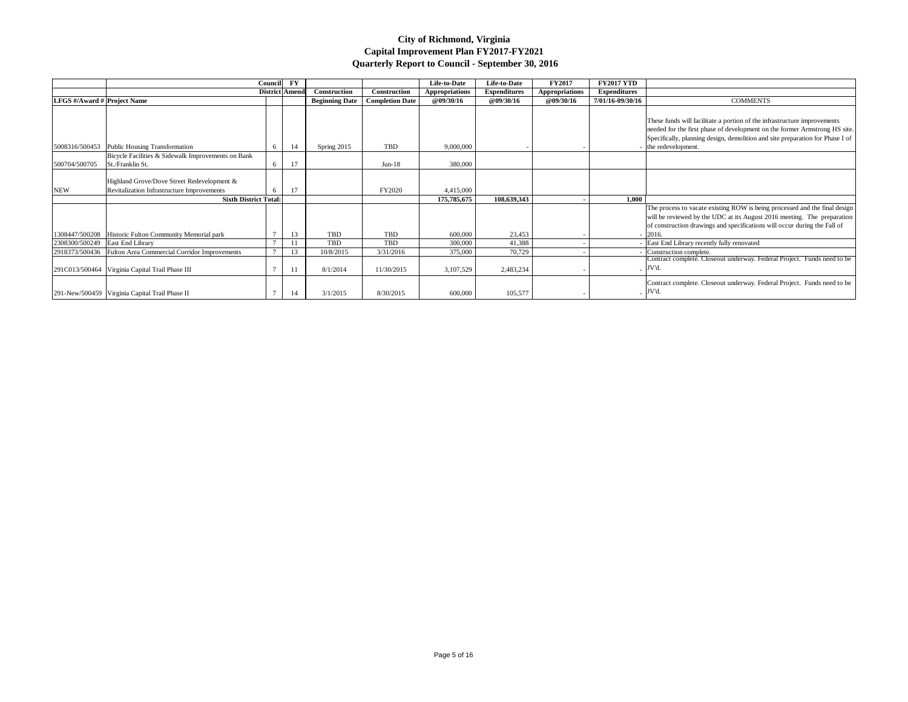|                                    |                                                               | <b>Council</b> | ${\bf F}{\bf Y}$      |                       |                        | Life-to-Date          | Life-to-Date        | <b>FY2017</b>         | <b>FY2017 YTD</b>   |                                                                               |
|------------------------------------|---------------------------------------------------------------|----------------|-----------------------|-----------------------|------------------------|-----------------------|---------------------|-----------------------|---------------------|-------------------------------------------------------------------------------|
|                                    |                                                               |                | <b>District Amend</b> | Construction          | Construction           | <b>Appropriations</b> | <b>Expenditures</b> | <b>Appropriations</b> | <b>Expenditures</b> |                                                                               |
| <b>LFGS</b> #/Award # Project Name |                                                               |                |                       | <b>Beginning Date</b> | <b>Completion Date</b> | <b>@09/30/16</b>      | <b>@09/30/16</b>    | <b>@09/30/16</b>      | 7/01/16-09/30/16    | <b>COMMENTS</b>                                                               |
|                                    |                                                               |                |                       |                       |                        |                       |                     |                       |                     |                                                                               |
|                                    |                                                               |                |                       |                       |                        |                       |                     |                       |                     | These funds will facilitate a portion of the infrastructure improvements      |
|                                    |                                                               |                |                       |                       |                        |                       |                     |                       |                     | needed for the first phase of development on the former Armstrong HS site.    |
|                                    |                                                               |                |                       |                       |                        |                       |                     |                       |                     | Specifically, planning design, demolition and site preparation for Phase I of |
| 5008316/500453                     | Public Housing Transformation                                 | -6             | 14                    | Spring 2015           | <b>TBD</b>             | 9,000,000             |                     |                       |                     | the redevelopment.                                                            |
|                                    | Bicycle Facilities & Sidewalk Improvements on Bank            |                |                       |                       |                        |                       |                     |                       |                     |                                                                               |
| 500704/500705                      | St./Franklin St.                                              | -6             | 17                    |                       | $Jun-18$               | 380,000               |                     |                       |                     |                                                                               |
|                                    |                                                               |                |                       |                       |                        |                       |                     |                       |                     |                                                                               |
|                                    | Highland Grove/Dove Street Redevelopment &                    |                |                       |                       |                        |                       |                     |                       |                     |                                                                               |
| <b>NEW</b>                         | Revitalization Infrastructure Improvements                    |                |                       |                       | FY2020                 | 4,415,000             |                     |                       |                     |                                                                               |
|                                    | <b>Sixth District Total:</b>                                  |                |                       |                       |                        | 175,785,675           | 108,639,343         |                       | 1,000               |                                                                               |
|                                    |                                                               |                |                       |                       |                        |                       |                     |                       |                     | The process to vacate existing ROW is being processed and the final design    |
|                                    |                                                               |                |                       |                       |                        |                       |                     |                       |                     | will be reviewed by the UDC at its August 2016 meeting. The preparation       |
|                                    |                                                               |                |                       |                       |                        |                       |                     |                       |                     | of construction drawings and specifications will occur during the Fall of     |
|                                    | 1308447/500208   Historic Fulton Community Memorial park      |                | 13                    | TBD                   | TBD                    | 600,000               | 23,453              |                       |                     | 2016.                                                                         |
| 2308300/500249 East End Library    |                                                               |                |                       | TBD                   | <b>TBD</b>             | 300,000               | 41,388              |                       |                     | East End Library recently fully renovated                                     |
|                                    | 2918373/500436   Fulton Area Commercial Corridor Improvements |                | 13                    | 10/8/2015             | 3/31/2016              | 375,000               | 70,729              |                       |                     | Construction complete.                                                        |
|                                    |                                                               |                |                       |                       |                        |                       |                     |                       |                     | Contract complete. Closeout underway. Federal Project. Funds need to be       |
|                                    | 291C013/500464   Virginia Capital Trail Phase III             |                |                       | 8/1/2014              | 11/30/2015             | 3,107,529             | 2,483,234           |                       |                     | JV'd.                                                                         |
|                                    |                                                               |                |                       |                       |                        |                       |                     |                       |                     | Contract complete. Closeout underway. Federal Project. Funds need to be       |
|                                    | 291-New/500459   Virginia Capital Trail Phase II              |                |                       | 3/1/2015              | 8/30/2015              | 600,000               | 105,577             |                       |                     | . JV'd.                                                                       |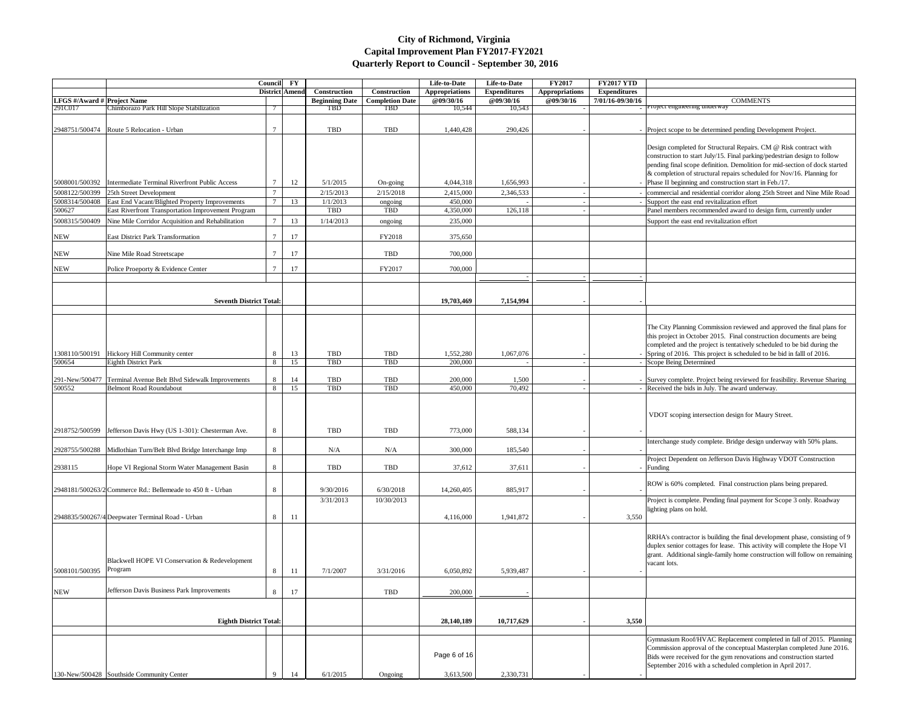|                                               |                                                                | Council FY      |                  |                                     |                                      | Life-to-Date          | Life-to-Date        | <b>FY2017</b>         | <b>FY2017 YTD</b>   |                                                                                                                                                                                                                                                                                                                              |
|-----------------------------------------------|----------------------------------------------------------------|-----------------|------------------|-------------------------------------|--------------------------------------|-----------------------|---------------------|-----------------------|---------------------|------------------------------------------------------------------------------------------------------------------------------------------------------------------------------------------------------------------------------------------------------------------------------------------------------------------------------|
|                                               |                                                                |                 | District   Amend | Construction                        | Construction                         | <b>Appropriations</b> | <b>Expenditures</b> | <b>Appropriations</b> | <b>Expenditures</b> |                                                                                                                                                                                                                                                                                                                              |
| <b>LFGS</b> #/Award # Project Name<br>291C017 | Chimborazo Park Hill Slope Stabilization                       |                 |                  | <b>Beginning Date</b><br><b>TBD</b> | <b>Completion Date</b><br><b>TBD</b> | @09/30/16<br>10,544   | @09/30/16<br>10,543 | <b>@09/30/16</b>      | 7/01/16-09/30/16    | <b>COMMENTS</b><br><b>Project engineering underway</b>                                                                                                                                                                                                                                                                       |
|                                               | 2948751/500474   Route 5 Relocation - Urban                    |                 |                  | <b>TBD</b>                          | TBD                                  | 1,440,428             | 290,426             |                       |                     | - Project scope to be determined pending Development Project.                                                                                                                                                                                                                                                                |
|                                               |                                                                |                 |                  |                                     |                                      |                       |                     |                       |                     | Design completed for Structural Repairs. CM @ Risk contract with<br>construction to start July/15. Final parking/pedestrian design to follow<br>pending final scope definition. Demolition for mid-section of dock started                                                                                                   |
| 5008001/500392                                | Intermediate Terminal Riverfront Public Access                 |                 | 12               | 5/1/2015                            | On-going                             | 4,044,318             | 1,656,993           |                       |                     | & completion of structural repairs scheduled for Nov/16. Planning for<br>Phase II beginning and construction start in Feb./17.                                                                                                                                                                                               |
| 5008122/500399                                | 25th Street Development                                        | $7\phantom{.0}$ |                  | 2/15/2013                           | 2/15/2018                            | 2,415,000             | 2,346,533           |                       |                     | commercial and residential corridor along 25th Street and Nine Mile Roa                                                                                                                                                                                                                                                      |
| 5008314/500408                                | East End Vacant/Blighted Property Improvements                 |                 | 13               | 1/1/2013                            | ongoing                              | 450,000               |                     |                       |                     | Support the east end revitalization effort                                                                                                                                                                                                                                                                                   |
| 500627                                        | East Riverfront Transportation Improvement Program             |                 |                  | TBD                                 | TBD                                  | 4,350,000             | 126,118             |                       |                     | Panel members recommended award to design firm, currently under                                                                                                                                                                                                                                                              |
| 5008315/500409                                | Nine Mile Corridor Acquisition and Rehabilitation              |                 | 13               | 1/14/2013                           | ongoing                              | 235,000               |                     |                       |                     | Support the east end revitalization effort                                                                                                                                                                                                                                                                                   |
| <b>NEW</b>                                    | <b>East District Park Transformation</b>                       | $\overline{7}$  | 17               |                                     | FY2018                               | 375,650               |                     |                       |                     |                                                                                                                                                                                                                                                                                                                              |
| <b>NEW</b>                                    | Nine Mile Road Streetscape                                     | $\overline{7}$  | 17               |                                     | <b>TBD</b>                           | 700,000               |                     |                       |                     |                                                                                                                                                                                                                                                                                                                              |
| <b>NEW</b>                                    | Police Proeporty & Evidence Center                             |                 | 17               |                                     | FY2017                               | 700,000               |                     |                       |                     |                                                                                                                                                                                                                                                                                                                              |
|                                               |                                                                |                 |                  |                                     |                                      |                       |                     |                       |                     |                                                                                                                                                                                                                                                                                                                              |
|                                               | <b>Seventh District Total:</b>                                 |                 |                  |                                     |                                      | 19,703,469            | 7,154,994           |                       |                     |                                                                                                                                                                                                                                                                                                                              |
|                                               |                                                                |                 |                  |                                     |                                      |                       |                     |                       |                     |                                                                                                                                                                                                                                                                                                                              |
| 1308110/500191<br>500654                      | Hickory Hill Community center<br>Eighth District Park          | 8<br>8          | 13<br>15         | <b>TBD</b><br><b>TBD</b>            | <b>TBD</b><br><b>TBD</b>             | 1,552,280<br>200,000  | 1,067,076           |                       |                     | The City Planning Commission reviewed and approved the final plans for<br>this project in October 2015. Final construction documents are being<br>completed and the project is tentatively scheduled to be bid during the<br>Spring of 2016. This project is scheduled to be bid in falll of 2016.<br>Scope Being Determined |
|                                               |                                                                |                 |                  |                                     |                                      |                       |                     |                       |                     |                                                                                                                                                                                                                                                                                                                              |
|                                               | 291-New/500477 Terminal Avenue Belt Blvd Sidewalk Improvements | 8               | 14               | TBD                                 | TBD                                  | 200,000               | 1,500               |                       |                     | - Survey complete. Project being reviewed for feasibility. Revenue Sharing                                                                                                                                                                                                                                                   |
| 500552                                        | <b>Belmont Road Roundabout</b>                                 | 8               | 15               | TBD                                 | TBD                                  | 450,000               | 70,492              |                       |                     | - Received the bids in July. The award underway.                                                                                                                                                                                                                                                                             |
| 2918752/500599                                | Jefferson Davis Hwy (US 1-301): Chesterman Ave.                | 8               |                  | TBD                                 | TBD                                  | 773,000               | 588,134             |                       |                     | VDOT scoping intersection design for Maury Street.                                                                                                                                                                                                                                                                           |
| 2928755/500288                                | Midlothian Turn/Belt Blvd Bridge Interchange Imp               | 8               |                  | N/A                                 | N/A                                  | 300,000               | 185,540             |                       |                     | Interchange study complete. Bridge design underway with 50% plans.                                                                                                                                                                                                                                                           |
|                                               |                                                                |                 |                  |                                     |                                      |                       |                     |                       |                     | Project Dependent on Jefferson Davis Highway VDOT Construction                                                                                                                                                                                                                                                               |
| 2938115                                       | Hope VI Regional Storm Water Management Basin                  | 8               |                  | <b>TBD</b>                          | <b>TBD</b>                           | 37,612                | 37,611              |                       |                     | $-$ Funding                                                                                                                                                                                                                                                                                                                  |
|                                               | 2948181/500263/2 Commerce Rd.: Bellemeade to 450 ft - Urban    | 8               |                  | 9/30/2016                           | 6/30/2018                            | 14,260,405            | 885,917             |                       |                     | ROW is 60% completed. Final construction plans being prepared.                                                                                                                                                                                                                                                               |
|                                               |                                                                |                 |                  | 3/31/2013                           | 10/30/2013                           |                       |                     |                       |                     | Project is complete. Pending final payment for Scope 3 only. Roadway<br>lighting plans on hold.                                                                                                                                                                                                                              |
|                                               | 2948835/500267/4 Deepwater Terminal Road - Urban               | 8               | -11              |                                     |                                      | 4,116,000             | 1,941,872           |                       | 3,550               |                                                                                                                                                                                                                                                                                                                              |
| 5008101/500395                                | Blackwell HOPE VI Conservation & Redevelopment<br>Program      | 8               | 11               | 7/1/2007                            | 3/31/2016                            | 6,050,892             | 5,939,487           |                       |                     | RRHA's contractor is building the final development phase, consisting of<br>duplex senior cottages for lease. This activity will complete the Hope VI<br>grant. Additional single-family home construction will follow on remaini<br>vacant lots.                                                                            |
|                                               |                                                                |                 |                  |                                     |                                      |                       |                     |                       |                     |                                                                                                                                                                                                                                                                                                                              |
| <b>NEW</b>                                    | Jefferson Davis Business Park Improvements                     | 8               | 17               |                                     | <b>TBD</b>                           | 200,000               |                     |                       |                     |                                                                                                                                                                                                                                                                                                                              |
|                                               | <b>Eighth District Total:</b>                                  |                 |                  |                                     |                                      | 28,140,189            | 10,717,629          |                       | 3,550               |                                                                                                                                                                                                                                                                                                                              |
|                                               |                                                                |                 |                  |                                     |                                      |                       |                     |                       |                     |                                                                                                                                                                                                                                                                                                                              |
|                                               |                                                                |                 |                  |                                     |                                      | Page 6 of 16          |                     |                       |                     | Gymnasium Roof/HVAC Replacement completed in fall of 2015. Planni<br>Commission approval of the conceptual Masterplan completed June 2016<br>Bids were received for the gym renovations and construction started<br>September 2016 with a scheduled completion in April 2017.                                                |
|                                               | 130-New/500428 Southside Community Center                      |                 |                  | 6/1/2015                            | Ongoing                              | 3,613,500             | 2,330,731           |                       |                     |                                                                                                                                                                                                                                                                                                                              |

| 7 YTD   |                                                                            |
|---------|----------------------------------------------------------------------------|
|         |                                                                            |
| litures |                                                                            |
| 9/30/16 | <b>COMMENTS</b>                                                            |
|         | Project engineering underway                                               |
|         |                                                                            |
|         |                                                                            |
|         | Project scope to be determined pending Development Project.                |
|         |                                                                            |
|         |                                                                            |
|         | Design completed for Structural Repairs. CM @ Risk contract with           |
|         | construction to start July/15. Final parking/pedestrian design to follow   |
|         |                                                                            |
|         | pending final scope definition. Demolition for mid-section of dock started |
|         | & completion of structural repairs scheduled for Nov/16. Planning for      |
|         | Phase II beginning and construction start in Feb./17.                      |
|         |                                                                            |
|         | commercial and residential corridor along 25th Street and Nine Mile Road   |
|         | Support the east end revitalization effort                                 |
|         | Panel members recommended award to design firm, currently under            |
|         |                                                                            |
|         | Support the east end revitalization effort                                 |
|         |                                                                            |
|         |                                                                            |
|         |                                                                            |
|         |                                                                            |
|         |                                                                            |
|         |                                                                            |
|         |                                                                            |
|         |                                                                            |
|         |                                                                            |
|         |                                                                            |
|         |                                                                            |
|         |                                                                            |
|         |                                                                            |
|         |                                                                            |
|         |                                                                            |
|         | The City Planning Commission reviewed and approved the final plans for     |
|         | this project in October 2015. Final construction documents are being       |
|         |                                                                            |
|         | completed and the project is tentatively scheduled to be bid during the    |
|         | Spring of 2016. This project is scheduled to be bid in falll of 2016.      |
|         | Scope Being Determined                                                     |
|         |                                                                            |
|         |                                                                            |
|         | Survey complete. Project being reviewed for feasibility. Revenue Sharing   |
|         | Received the bids in July. The award underway.                             |
|         |                                                                            |
|         |                                                                            |
|         |                                                                            |
|         | VDOT scoping intersection design for Maury Street.                         |
|         |                                                                            |
|         |                                                                            |
|         |                                                                            |
|         | Interchange study complete. Bridge design underway with 50% plans.         |
|         |                                                                            |
|         |                                                                            |
|         | Project Dependent on Jefferson Davis Highway VDOT Construction             |
|         | Funding                                                                    |
|         |                                                                            |
|         | ROW is 60% completed. Final construction plans being prepared.             |
|         |                                                                            |
|         |                                                                            |
|         | Project is complete. Pending final payment for Scope 3 only. Roadway       |
|         | lighting plans on hold.                                                    |
| 3,550   |                                                                            |
|         |                                                                            |
|         |                                                                            |
|         | RRHA's contractor is building the final development phase, consisting of 9 |
|         | duplex senior cottages for lease. This activity will complete the Hope VI  |
|         |                                                                            |
|         | grant. Additional single-family home construction will follow on remaining |
|         | vacant lots.                                                               |
|         |                                                                            |
|         |                                                                            |
|         |                                                                            |
|         |                                                                            |
|         |                                                                            |
|         |                                                                            |
|         |                                                                            |
|         |                                                                            |
| 3,550   |                                                                            |
|         |                                                                            |
|         |                                                                            |
|         | Gymnasium Roof/HVAC Replacement completed in fall of 2015. Planning        |
|         | Commission approval of the conceptual Masterplan completed June 2016.      |
|         | Bids were received for the gym renovations and construction started        |
|         |                                                                            |
|         | September 2016 with a scheduled completion in April 2017.                  |
|         |                                                                            |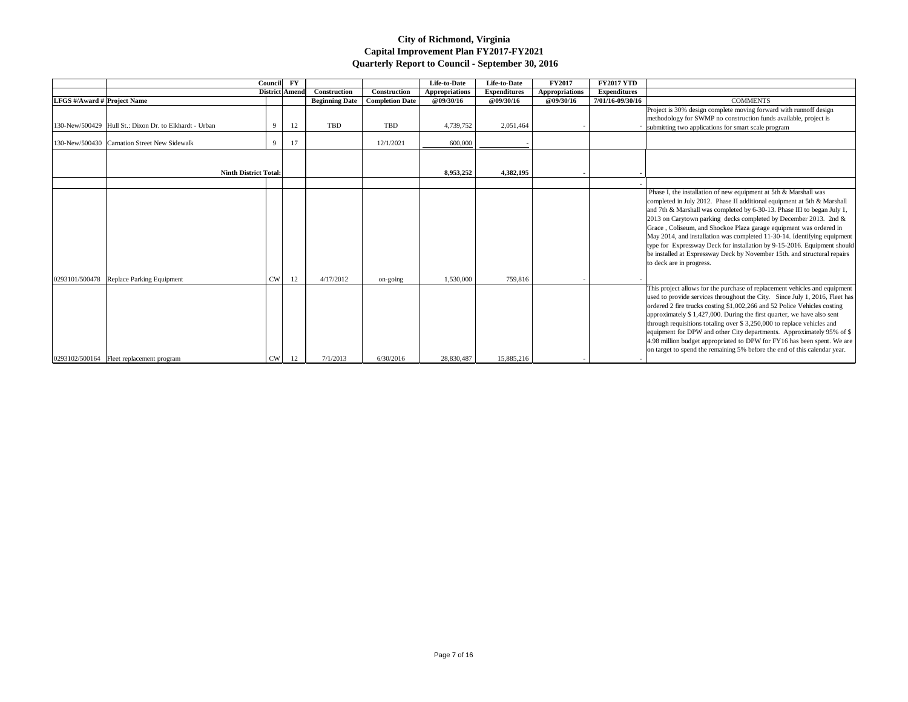|                             |                                                        | Council   | $\mathbf{F}\mathbf{Y}$ |                       |                        | Life-to-Date          | Life-to-Date        | <b>FY2017</b>         | <b>FY2017 YTD</b>   |                                                                                                                                                                                                                                                                                                                                                                                                                                                                                                                                                                                                                                  |
|-----------------------------|--------------------------------------------------------|-----------|------------------------|-----------------------|------------------------|-----------------------|---------------------|-----------------------|---------------------|----------------------------------------------------------------------------------------------------------------------------------------------------------------------------------------------------------------------------------------------------------------------------------------------------------------------------------------------------------------------------------------------------------------------------------------------------------------------------------------------------------------------------------------------------------------------------------------------------------------------------------|
|                             |                                                        |           | District Amend         | Construction          | Construction           | <b>Appropriations</b> | <b>Expenditures</b> | <b>Appropriations</b> | <b>Expenditures</b> |                                                                                                                                                                                                                                                                                                                                                                                                                                                                                                                                                                                                                                  |
| LFGS #/Award # Project Name |                                                        |           |                        | <b>Beginning Date</b> | <b>Completion Date</b> | <b>@09/30/16</b>      | <b>@09/30/16</b>    | @09/30/16             | 7/01/16-09/30/16    | <b>COMMENTS</b>                                                                                                                                                                                                                                                                                                                                                                                                                                                                                                                                                                                                                  |
|                             | 130-New/500429 Hull St.: Dixon Dr. to Elkhardt - Urban | -9        | 12                     | TBD                   | TBD                    | 4,739,752             | 2,051,464           |                       |                     | Project is 30% design complete moving forward with runnoff design<br>methodology for SWMP no construction funds available, project is<br>submitting two applications for smart scale program                                                                                                                                                                                                                                                                                                                                                                                                                                     |
|                             | 130-New/500430 Carnation Street New Sidewalk           | 9         | 17                     |                       | 12/1/2021              | 600,000               |                     |                       |                     |                                                                                                                                                                                                                                                                                                                                                                                                                                                                                                                                                                                                                                  |
|                             | <b>Ninth District Total:</b>                           |           |                        |                       |                        | 8,953,252             | 4,382,195           |                       |                     |                                                                                                                                                                                                                                                                                                                                                                                                                                                                                                                                                                                                                                  |
|                             | 0293101/500478 Replace Parking Equipment               | <b>CW</b> | 12                     | 4/17/2012             | on-going               | 1,530,000             | 759,816             |                       |                     | Phase I, the installation of new equipment at 5th & Marshall was<br>completed in July 2012. Phase II additional equipment at 5th & Marshall<br>and 7th & Marshall was completed by 6-30-13. Phase III to began July 1,<br>2013 on Carytown parking decks completed by December 2013. 2nd &<br>Grace, Coliseum, and Shockoe Plaza garage equipment was ordered in<br>May 2014, and installation was completed 11-30-14. Identifying equipment<br>type for Expressway Deck for installation by 9-15-2016. Equipment should<br>be installed at Expressway Deck by November 15th. and structural repairs<br>to deck are in progress. |
|                             | 0293102/500164   Fleet replacement program             | CW        | 12                     | 7/1/2013              | 6/30/2016              | 28,830,487            | 15,885,216          |                       |                     | This project allows for the purchase of replacement vehicles and equipment<br>used to provide services throughout the City. Since July 1, 2016, Fleet has<br>ordered 2 fire trucks costing \$1,002,266 and 52 Police Vehicles costing<br>approximately $$1,427,000$ . During the first quarter, we have also sent<br>through requisitions totaling over \$3,250,000 to replace vehicles and<br>equipment for DPW and other City departments. Approximately 95% of \$<br>4.98 million budget appropriated to DPW for FY16 has been spent. We are<br>on target to spend the remaining 5% before the end of this calendar year.     |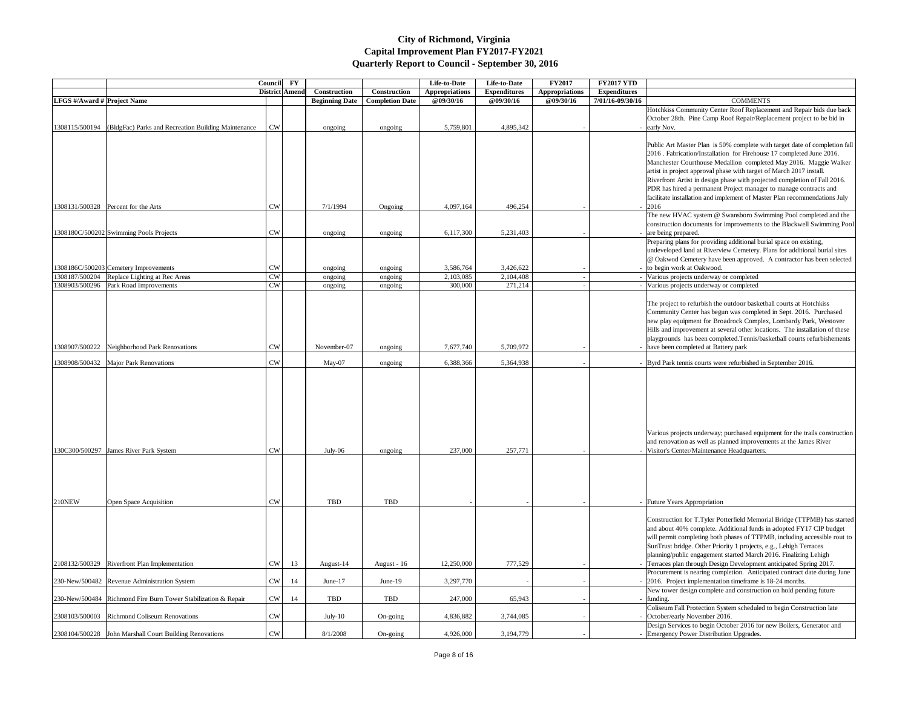|                                    |                                                                | Council       | $\mathbf{F}\mathbf{Y}$ |                       |                        | Life-to-Date          | Life-to-Date        | <b>FY2017</b>         | <b>FY2017 YTD</b>   |                                                                                                                                                                                                                                                                                                                       |
|------------------------------------|----------------------------------------------------------------|---------------|------------------------|-----------------------|------------------------|-----------------------|---------------------|-----------------------|---------------------|-----------------------------------------------------------------------------------------------------------------------------------------------------------------------------------------------------------------------------------------------------------------------------------------------------------------------|
|                                    |                                                                |               | District Amend         | Construction          | Construction           | <b>Appropriations</b> | <b>Expenditures</b> | <b>Appropriations</b> | <b>Expenditures</b> |                                                                                                                                                                                                                                                                                                                       |
| <b>LFGS</b> #/Award # Project Name |                                                                |               |                        | <b>Beginning Date</b> | <b>Completion Date</b> | @09/30/16             | @09/30/16           | @09/30/16             | 7/01/16-09/30/16    | <b>COMMENTS</b>                                                                                                                                                                                                                                                                                                       |
|                                    |                                                                |               |                        |                       |                        |                       |                     |                       |                     | Hotchkiss Community Center Roof Replacement and Repair                                                                                                                                                                                                                                                                |
|                                    |                                                                |               |                        |                       |                        |                       |                     |                       |                     | October 28th. Pine Camp Roof Repair/Replacement project                                                                                                                                                                                                                                                               |
| 1308115/500194                     | (BldgFac) Parks and Recreation Building Maintenance            | ${\rm\bf CW}$ |                        | ongoing               | ongoing                | 5,759,801             | 4,895,342           |                       |                     | early Nov.                                                                                                                                                                                                                                                                                                            |
|                                    |                                                                |               |                        |                       |                        |                       |                     |                       |                     |                                                                                                                                                                                                                                                                                                                       |
|                                    |                                                                |               |                        |                       |                        |                       |                     |                       |                     | Public Art Master Plan is 50% complete with target date of                                                                                                                                                                                                                                                            |
|                                    |                                                                |               |                        |                       |                        |                       |                     |                       |                     | 2016 . Fabrication/Installation for Firehouse 17 completed Ju                                                                                                                                                                                                                                                         |
|                                    |                                                                |               |                        |                       |                        |                       |                     |                       |                     | Manchester Courthouse Medallion completed May 2016. M                                                                                                                                                                                                                                                                 |
|                                    |                                                                |               |                        |                       |                        |                       |                     |                       |                     | artist in project approval phase with target of March 2017 ins                                                                                                                                                                                                                                                        |
|                                    |                                                                |               |                        |                       |                        |                       |                     |                       |                     | Riverfront Artist in design phase with projected completion of                                                                                                                                                                                                                                                        |
|                                    |                                                                |               |                        |                       |                        |                       |                     |                       |                     | PDR has hired a permanent Project manager to manage contr                                                                                                                                                                                                                                                             |
|                                    |                                                                |               |                        |                       |                        |                       |                     |                       |                     | facilitate installation and implement of Master Plan recommen                                                                                                                                                                                                                                                         |
|                                    | 1308131/500328 Percent for the Arts                            | CW            |                        | 7/1/1994              | Ongoing                | 4,097,164             | 496,254             |                       |                     | 2016                                                                                                                                                                                                                                                                                                                  |
|                                    |                                                                |               |                        |                       |                        |                       |                     |                       |                     | The new HVAC system @ Swansboro Swimming Pool comp                                                                                                                                                                                                                                                                    |
|                                    |                                                                |               |                        |                       |                        |                       |                     |                       |                     | construction documents for improvements to the Blackwell S                                                                                                                                                                                                                                                            |
|                                    | 1308180C/500202 Swimming Pools Projects                        | <b>CW</b>     |                        | ongoing               | ongoing                | 6,117,300             | 5,231,403           |                       |                     | are being prepared.                                                                                                                                                                                                                                                                                                   |
|                                    |                                                                |               |                        |                       |                        |                       |                     |                       |                     | Preparing plans for providing additional burial space on exist                                                                                                                                                                                                                                                        |
|                                    |                                                                |               |                        |                       |                        |                       |                     |                       |                     | undeveloped land at Riverview Cemetery. Plans for additiona                                                                                                                                                                                                                                                           |
|                                    |                                                                |               |                        |                       |                        |                       |                     |                       |                     | @ Oakwod Cemetery have been approved. A contractor has                                                                                                                                                                                                                                                                |
|                                    | 1308186C/500203 Cemetery Improvements                          | <b>CW</b>     |                        | ongoing               | ongoing                | 3,586,764             | 3,426,622           |                       |                     | to begin work at Oakwood.                                                                                                                                                                                                                                                                                             |
|                                    | 1308187/500204 Replace Lighting at Rec Areas                   | <b>CW</b>     |                        | ongoing               | ongoing                | 2,103,085             | 2,104,408           |                       |                     | Various projects underway or completed                                                                                                                                                                                                                                                                                |
|                                    | 1308903/500296 Park Road Improvements                          | <b>CW</b>     |                        |                       |                        | 300,000               | 271,214             |                       |                     | Various projects underway or completed                                                                                                                                                                                                                                                                                |
|                                    |                                                                |               |                        | ongoing               | ongoing                |                       |                     |                       |                     |                                                                                                                                                                                                                                                                                                                       |
|                                    |                                                                |               |                        |                       |                        |                       |                     |                       |                     |                                                                                                                                                                                                                                                                                                                       |
|                                    |                                                                |               |                        |                       |                        |                       |                     |                       |                     | The project to refurbish the outdoor basketball courts at Hot                                                                                                                                                                                                                                                         |
|                                    |                                                                |               |                        |                       |                        |                       |                     |                       |                     | Community Center has begun was completed in Sept. 2016.                                                                                                                                                                                                                                                               |
|                                    |                                                                |               |                        |                       |                        |                       |                     |                       |                     | new play equipment for Broadrock Complex, Lombardy Parl                                                                                                                                                                                                                                                               |
|                                    |                                                                |               |                        |                       |                        |                       |                     |                       |                     | Hills and improvement at several other locations. The installa                                                                                                                                                                                                                                                        |
|                                    |                                                                |               |                        |                       |                        |                       |                     |                       |                     | playgrounds has been completed. Tennis/basketball courts rea                                                                                                                                                                                                                                                          |
|                                    | 1308907/500222 Neighborhood Park Renovations                   | CW            |                        | November-07           | ongoing                | 7,677,740             | 5,709,972           |                       |                     | have been completed at Battery park                                                                                                                                                                                                                                                                                   |
|                                    |                                                                |               |                        |                       |                        |                       |                     |                       |                     |                                                                                                                                                                                                                                                                                                                       |
|                                    | 1308908/500432   Major Park Renovations                        | <b>CW</b>     |                        | May-07                | ongoing                | 6,388,366             | 5,364,938           |                       |                     | - Byrd Park tennis courts were refurbished in September 2016.                                                                                                                                                                                                                                                         |
|                                    |                                                                |               |                        |                       |                        |                       |                     |                       |                     | Various projects underway; purchased equipment for the trai<br>and renovation as well as planned improvements at the James                                                                                                                                                                                            |
|                                    | 130C300/500297 James River Park System                         | CW            |                        | July-06               | ongoing                | 237,000               | 257,771             |                       |                     | Visitor's Center/Maintenance Headquarters.                                                                                                                                                                                                                                                                            |
|                                    |                                                                |               |                        |                       |                        |                       |                     |                       |                     |                                                                                                                                                                                                                                                                                                                       |
|                                    |                                                                |               |                        |                       |                        |                       |                     |                       |                     |                                                                                                                                                                                                                                                                                                                       |
| 210NEW                             | Open Space Acquisition                                         | CW            |                        | <b>TBD</b>            | <b>TBD</b>             |                       |                     |                       |                     | - Future Years Appropriation                                                                                                                                                                                                                                                                                          |
|                                    |                                                                |               |                        |                       |                        |                       |                     |                       |                     | Construction for T.Tyler Potterfield Memorial Bridge (TTPN<br>and about 40% complete. Additional funds in adopted FY17<br>will permit completing both phases of TTPMB, including acc<br>SunTrust bridge. Other Priority 1 projects, e.g., Lehigh Terra<br>planning/public engagement started March 2016. Finalizing L |
|                                    | 2108132/500329 Riverfront Plan Implementation                  | <b>CW</b>     | 13                     | August-14             | August - 16            | 12,250,000            | 777,529             |                       |                     | Terraces plan through Design Development anticipated Sprin                                                                                                                                                                                                                                                            |
|                                    |                                                                |               |                        |                       |                        |                       |                     |                       |                     | Procurement is nearing completion. Anticipated contract dat                                                                                                                                                                                                                                                           |
|                                    | 230-New/500482 Revenue Administration System                   | <b>CW</b>     | 14                     | June- $17$            | June-19                | 3,297,770             |                     |                       |                     | 2016. Project implementation timeframe is 18-24 months.                                                                                                                                                                                                                                                               |
|                                    |                                                                |               |                        |                       |                        |                       |                     |                       |                     | New tower design complete and construction on hold pendin                                                                                                                                                                                                                                                             |
|                                    | 230-New/500484 Richmond Fire Burn Tower Stabilization & Repair | ${\rm\bf CW}$ | 14                     | TBD                   | TBD                    | 247,000               | 65,943              |                       |                     | funding.                                                                                                                                                                                                                                                                                                              |
|                                    |                                                                |               |                        |                       |                        |                       |                     |                       |                     | Coliseum Fall Protection System scheduled to begin Construe                                                                                                                                                                                                                                                           |
|                                    | 2308103/500003 Richmond Coliseum Renovations                   | <b>CW</b>     |                        | July- $10$            | On-going               | 4,836,882             | 3,744,085           |                       |                     | October/early November 2016.                                                                                                                                                                                                                                                                                          |
|                                    |                                                                |               |                        |                       |                        |                       |                     |                       |                     | Design Services to begin October 2016 for new Boilers, Gen                                                                                                                                                                                                                                                            |
|                                    | 2308104/500228 John Marshall Court Building Renovations        | <b>CW</b>     |                        | 8/1/2008              | On-going               | 4,926,000             | 3, 194, 779         |                       |                     | - Emergency Power Distribution Upgrades.                                                                                                                                                                                                                                                                              |
|                                    |                                                                |               |                        |                       |                        |                       |                     |                       |                     |                                                                                                                                                                                                                                                                                                                       |

| 17 YTD                   |                                                                                                                                                                                                                                                                                                                                                                                                                                                                                                                                       |
|--------------------------|---------------------------------------------------------------------------------------------------------------------------------------------------------------------------------------------------------------------------------------------------------------------------------------------------------------------------------------------------------------------------------------------------------------------------------------------------------------------------------------------------------------------------------------|
| nditures                 |                                                                                                                                                                                                                                                                                                                                                                                                                                                                                                                                       |
| 5-09/30/16               | <b>COMMENTS</b>                                                                                                                                                                                                                                                                                                                                                                                                                                                                                                                       |
|                          | Hotchkiss Community Center Roof Replacement and Repair bids due back<br>October 28th. Pine Camp Roof Repair/Replacement project to be bid in<br>early Nov.                                                                                                                                                                                                                                                                                                                                                                            |
|                          | Public Art Master Plan is 50% complete with target date of completion fall<br>2016. Fabrication/Installation for Firehouse 17 completed June 2016.<br>Manchester Courthouse Medallion completed May 2016. Maggie Walker<br>artist in project approval phase with target of March 2017 install.<br>Riverfront Artist in design phase with projected completion of Fall 2016.<br>PDR has hired a permanent Project manager to manage contracts and<br>facilitate installation and implement of Master Plan recommendations July<br>2016 |
|                          | The new HVAC system @ Swansboro Swimming Pool completed and the<br>construction documents for improvements to the Blackwell Swimming Pool<br>are being prepared.                                                                                                                                                                                                                                                                                                                                                                      |
|                          | Preparing plans for providing additional burial space on existing,<br>undeveloped land at Riverview Cemetery. Plans for additional burial sites<br>@ Oakwod Cemetery have been approved. A contractor has been selected<br>to begin work at Oakwood.                                                                                                                                                                                                                                                                                  |
|                          | Various projects underway or completed                                                                                                                                                                                                                                                                                                                                                                                                                                                                                                |
|                          | Various projects underway or completed                                                                                                                                                                                                                                                                                                                                                                                                                                                                                                |
|                          | The project to refurbish the outdoor basketball courts at Hotchkiss<br>Community Center has begun was completed in Sept. 2016. Purchased<br>new play equipment for Broadrock Complex, Lombardy Park, Westover<br>Hills and improvement at several other locations. The installation of these<br>playgrounds has been completed. Tennis/basketball courts refurbishements<br>have been completed at Battery park                                                                                                                       |
|                          | Byrd Park tennis courts were refurbished in September 2016.                                                                                                                                                                                                                                                                                                                                                                                                                                                                           |
|                          | Various projects underway; purchased equipment for the trails construction<br>and renovation as well as planned improvements at the James River<br>Visitor's Center/Maintenance Headquarters.                                                                                                                                                                                                                                                                                                                                         |
|                          | <b>Future Years Appropriation</b>                                                                                                                                                                                                                                                                                                                                                                                                                                                                                                     |
|                          | Construction for T.Tyler Potterfield Memorial Bridge (TTPMB) has started<br>and about 40% complete. Additional funds in adopted FY17 CIP budget<br>will permit completing both phases of TTPMB, including accessible rout to<br>SunTrust bridge. Other Priority 1 projects, e.g., Lehigh Terraces<br>planning/public engagement started March 2016. Finalizing Lehigh                                                                                                                                                                 |
|                          | Terraces plan through Design Development anticipated Spring 2017.<br>Procurement is nearing completion. Anticipated contract date during June                                                                                                                                                                                                                                                                                                                                                                                         |
|                          | 2016. Project implementation timeframe is 18-24 months.<br>New tower design complete and construction on hold pending future                                                                                                                                                                                                                                                                                                                                                                                                          |
|                          | funding.                                                                                                                                                                                                                                                                                                                                                                                                                                                                                                                              |
| $\overline{\phantom{a}}$ | Coliseum Fall Protection System scheduled to begin Construction late<br>October/early November 2016.                                                                                                                                                                                                                                                                                                                                                                                                                                  |
|                          | Design Services to begin October 2016 for new Boilers, Generator and<br>Emergency Power Distribution Upgrades.                                                                                                                                                                                                                                                                                                                                                                                                                        |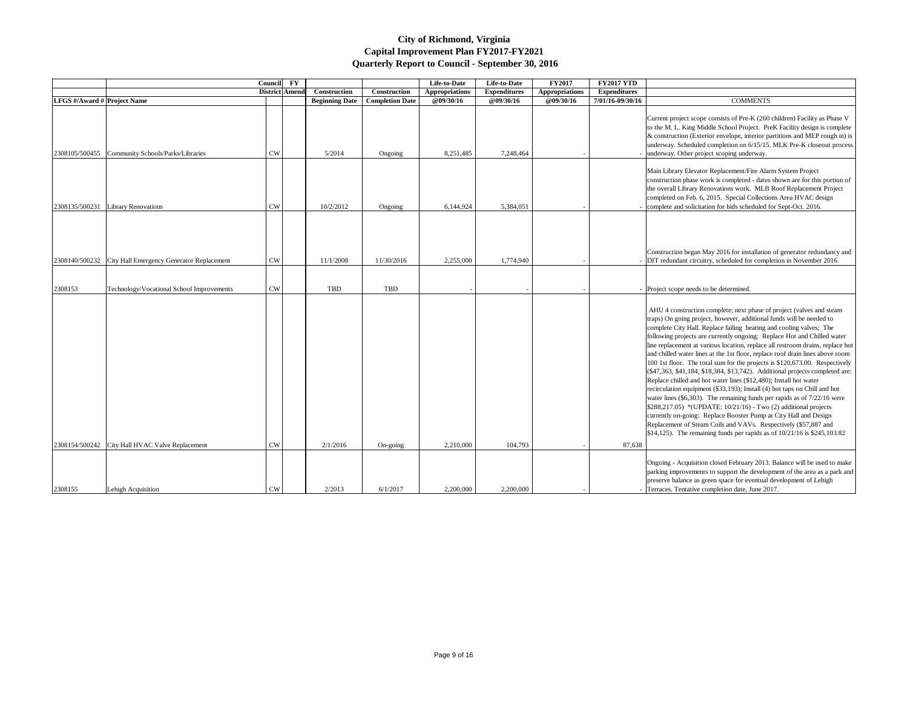|                                    |                                           | Council        | $\mathbf{F}\mathbf{Y}$ |                       |                        | Life-to-Date          | Life-to-Date        | <b>FY2017</b>         | <b>FY2017 YTD</b>                                                                                                                                                                                                                                                                                                                                                                                                                                                                                                                                                                                                                                                                                                                                                                                                                                                                                                                                                                                                                                                                                                                                                           |
|------------------------------------|-------------------------------------------|----------------|------------------------|-----------------------|------------------------|-----------------------|---------------------|-----------------------|-----------------------------------------------------------------------------------------------------------------------------------------------------------------------------------------------------------------------------------------------------------------------------------------------------------------------------------------------------------------------------------------------------------------------------------------------------------------------------------------------------------------------------------------------------------------------------------------------------------------------------------------------------------------------------------------------------------------------------------------------------------------------------------------------------------------------------------------------------------------------------------------------------------------------------------------------------------------------------------------------------------------------------------------------------------------------------------------------------------------------------------------------------------------------------|
|                                    |                                           | District Amend |                        | <b>Construction</b>   | Construction           | <b>Appropriations</b> | <b>Expenditures</b> | <b>Appropriations</b> | <b>Expenditures</b>                                                                                                                                                                                                                                                                                                                                                                                                                                                                                                                                                                                                                                                                                                                                                                                                                                                                                                                                                                                                                                                                                                                                                         |
| <b>LFGS</b> #/Award # Project Name |                                           |                |                        | <b>Beginning Date</b> | <b>Completion Date</b> | @09/30/16             | @09/30/16           | @09/30/16             | 7/01/16-09/30/16<br><b>COMMENTS</b>                                                                                                                                                                                                                                                                                                                                                                                                                                                                                                                                                                                                                                                                                                                                                                                                                                                                                                                                                                                                                                                                                                                                         |
| 2308105/500455                     | Community Schools/Parks/Libraries         | <b>CW</b>      |                        | 5/2014                | Ongoing                | 8,251,485             | 7,248,464           |                       | Current project scope consists of Pre-K (260 children) Facility as Phase V<br>to the M. L. King Middle School Project. PreK Facility design is complete<br>& construction (Exterior envelope, interior partitions and MEP rough in) is<br>underway. Scheduled completion on 6/15/15. MLK Pre-K closeout process<br>underway. Other project scoping underway.                                                                                                                                                                                                                                                                                                                                                                                                                                                                                                                                                                                                                                                                                                                                                                                                                |
| 2308135/500231                     | <b>Library Renovations</b>                | <b>CW</b>      |                        | 10/2/2012             | Ongoing                | 6,144,924             | 5,384,051           |                       | Main Library Elevator Replacement/Fire Alarm System Project<br>construction phase work is completed - dates shown are for this portion of<br>the overall Library Renovations work. MLB Roof Replacement Project<br>completed on Feb. 6, 2015. Special Collections Area HVAC design<br>complete and solicitation for bids scheduled for Sept-Oct. 2016.                                                                                                                                                                                                                                                                                                                                                                                                                                                                                                                                                                                                                                                                                                                                                                                                                      |
| 2308140/500232                     | City Hall Emergency Generator Replacement | <b>CW</b>      |                        | 11/1/2008             | 11/30/2016             | 2,255,000             | 1,774,940           |                       | Construction began May 2016 for installation of generator redundancy and<br>DIT redundant circuitry, scheduled for completion in November 2016.                                                                                                                                                                                                                                                                                                                                                                                                                                                                                                                                                                                                                                                                                                                                                                                                                                                                                                                                                                                                                             |
|                                    |                                           |                |                        |                       |                        |                       |                     |                       |                                                                                                                                                                                                                                                                                                                                                                                                                                                                                                                                                                                                                                                                                                                                                                                                                                                                                                                                                                                                                                                                                                                                                                             |
| 2308153                            | Technology/Vocational School Improvements | <b>CW</b>      |                        | TBD                   | TBD                    |                       |                     |                       | Project scope needs to be determined.                                                                                                                                                                                                                                                                                                                                                                                                                                                                                                                                                                                                                                                                                                                                                                                                                                                                                                                                                                                                                                                                                                                                       |
| 2308154/500242                     | City Hall HVAC Valve Replacement          | <b>CW</b>      |                        | 2/1/2016              | On-going               | 2,210,000             | 104,793             |                       | AHU 4 construction complete; next phase of project (valves and steam<br>traps) On going project, however, additional funds will be needed to<br>complete City Hall. Replace failing heating and cooling valves; The<br>following projects are currently ongoing: Replace Hot and Chilled water<br>line replacement at various location, replace all restroom drains, replace hot<br>and chilled water lines at the 1st floor, replace roof drain lines above room<br>100 1st floor. The total sum for the projects is \$120,673.00. Respectively<br>$($ \$47,363, \$41,184, \$18,384, \$13,742). Additional projects completed are:<br>Replace chilled and hot water lines (\$12,480); Install hot water<br>recirculation equipment (\$33,193); Install (4) hot taps on Chill and hot<br>water lines (\$6,303). The remaining funds per rapids as of $7/22/16$ were<br>$$288,217.05$ *(UPDATE: 10/21/16) - Two (2) additional projects<br>currently on-going: Replace Booster Pump at City Hall and Design<br>Replacement of Steam Coils and VAVs. Respectively (\$57,887 and<br>$\vert$ \$14,125). The remaining funds per rapids as of 10/21/16 is \$245,103.82<br>87,638 |
|                                    |                                           |                |                        |                       |                        |                       |                     |                       | Ongoing - Acquisition closed February 2013. Balance will be used to make<br>parking improvements to support the development of the area as a park and<br>preserve balance as green space for eventual development of Lehigh                                                                                                                                                                                                                                                                                                                                                                                                                                                                                                                                                                                                                                                                                                                                                                                                                                                                                                                                                 |
| 2308155                            | Lehigh Acquisition                        | <b>CW</b>      |                        | 2/2013                | 6/1/2017               | 2,200,000             | 2,200,000           |                       | - Terraces. Tentative completion date, June 2017.                                                                                                                                                                                                                                                                                                                                                                                                                                                                                                                                                                                                                                                                                                                                                                                                                                                                                                                                                                                                                                                                                                                           |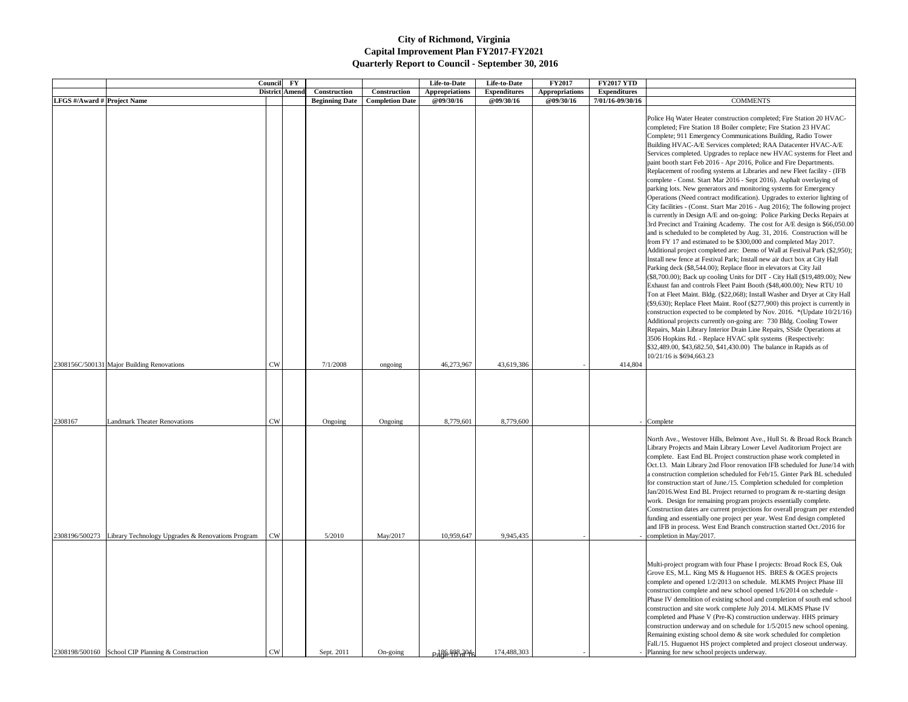| <b>Construction</b><br>Construction<br><b>Appropriations</b><br><b>Expenditures</b><br><b>Appropriations</b><br><b>Expenditures</b><br>District Amend<br><b>LFGS</b> #/Award # Project Name<br>@09/30/16<br><b>@09/30/16</b><br>@09/30/16<br>7/01/16-09/30/16<br><b>COMMENTS</b><br><b>Beginning Date</b><br><b>Completion Date</b><br>Police Hq Water Heater construction completed; Fire Station 20 HVAC-<br>completed; Fire Station 18 Boiler complete; Fire Station 23 HVAC<br>Complete; 911 Emergency Communications Building, Radio Tower<br>Building HVAC-A/E Services completed; RAA Datacenter HVAC-A/E<br>Services completed. Upgrades to replace new HVAC systems for Fleet and<br>paint booth start Feb 2016 - Apr 2016, Police and Fire Departments.<br>Replacement of roofing systems at Libraries and new Fleet facility - (IFB<br>complete - Const. Start Mar 2016 - Sept 2016). Asphalt overlaying of<br>parking lots. New generators and monitoring systems for Emergency<br>Operations (Need contract modification). Upgrades to exterior lighting of<br>City facilities - (Const. Start Mar 2016 - Aug 2016); The following project<br>is currently in Design A/E and on-going: Police Parking Decks Repairs at<br>3rd Precinct and Training Academy. The cost for A/E design is \$66,050.00<br>and is scheduled to be completed by Aug. 31, 2016. Construction will be<br>from FY 17 and estimated to be \$300,000 and completed May 2017.<br>Additional project completed are: Demo of Wall at Festival Park (\$2,950);<br>Install new fence at Festival Park; Install new air duct box at City Hall<br>Parking deck (\$8,544.00); Replace floor in elevators at City Jail<br>$($ \$8,700.00); Back up cooling Units for DIT - City Hall (\$19,489.00); New<br>Exhaust fan and controls Fleet Paint Booth (\$48,400.00); New RTU 10<br>Ton at Fleet Maint. Bldg. (\$22,068); Install Washer and Dryer at City Hall<br>(\$9,630); Replace Fleet Maint. Roof (\$277,900) this project is currently in<br>construction expected to be completed by Nov. 2016. *(Update 10/21/16)<br>Additional projects currently on-going are: 730 Bldg. Cooling Tower<br>Repairs, Main Library Interior Drain Line Repairs, SSide Operations at<br>3506 Hopkins Rd. - Replace HVAC split systems (Respectively:<br>\$32,489.00, \$43,682.50, \$41,430.00) The balance in Rapids as of<br>10/21/16 is \$694,663.23<br><b>CW</b><br>7/1/2008<br>46,273,967<br>2308156C/500131 Major Building Renovations<br>43,619,386<br>414,804<br>ongoing<br><b>Landmark Theater Renovations</b><br><b>CW</b><br>8,779,601<br>8,779,600<br>Ongoing<br>Ongoing<br>Complete<br>North Ave., Westover Hills, Belmont Ave., Hull St. & Broad Rock Branch<br>Library Projects and Main Library Lower Level Auditorium Project are<br>complete. East End BL Project construction phase work completed in<br>Oct.13. Main Library 2nd Floor renovation IFB scheduled for June/14 with<br>a construction completion scheduled for Feb/15. Ginter Park BL scheduled<br>for construction start of June./15. Completion scheduled for completion<br>Jan/2016. West End BL Project returned to program & re-starting design<br>work. Design for remaining program projects essentially complete.<br>Construction dates are current projections for overall program per extended<br>funding and essentially one project per year. West End design completed<br>and IFB in process. West End Branch construction started Oct./2016 for<br>Library Technology Upgrades & Renovations Program<br><b>CW</b><br>5/2010<br>May/2017<br>10,959,647<br>9,945,435<br>- completion in May/2017.<br>Multi-project program with four Phase I projects: Broad Rock ES, Oak<br>Grove ES, M.L. King MS & Huguenot HS. BRES & OGES projects<br>complete and opened 1/2/2013 on schedule. MLKMS Project Phase III<br>construction complete and new school opened 1/6/2014 on schedule -<br>Phase IV demolition of existing school and completion of south end school<br>construction and site work complete July 2014. MLKMS Phase IV<br>completed and Phase V (Pre-K) construction underway. HHS primary<br>construction underway and on schedule for 1/5/2015 new school opening.<br>Remaining existing school demo & site work scheduled for completion<br>Fall./15. Huguenot HS project completed and project closeout underway.<br><b>CW</b> |                                                              | Council FY |            |          | Life-to-Date  | Life-to-Date | <b>FY2017</b> | <b>FY2017 YTD</b> |                                            |
|----------------------------------------------------------------------------------------------------------------------------------------------------------------------------------------------------------------------------------------------------------------------------------------------------------------------------------------------------------------------------------------------------------------------------------------------------------------------------------------------------------------------------------------------------------------------------------------------------------------------------------------------------------------------------------------------------------------------------------------------------------------------------------------------------------------------------------------------------------------------------------------------------------------------------------------------------------------------------------------------------------------------------------------------------------------------------------------------------------------------------------------------------------------------------------------------------------------------------------------------------------------------------------------------------------------------------------------------------------------------------------------------------------------------------------------------------------------------------------------------------------------------------------------------------------------------------------------------------------------------------------------------------------------------------------------------------------------------------------------------------------------------------------------------------------------------------------------------------------------------------------------------------------------------------------------------------------------------------------------------------------------------------------------------------------------------------------------------------------------------------------------------------------------------------------------------------------------------------------------------------------------------------------------------------------------------------------------------------------------------------------------------------------------------------------------------------------------------------------------------------------------------------------------------------------------------------------------------------------------------------------------------------------------------------------------------------------------------------------------------------------------------------------------------------------------------------------------------------------------------------------------------------------------------------------------------------------------------------------------------------------------------------------------------------------------------------------------------------------------------------------------------------------------------------------------------------------------------------------------------------------------------------------------------------------------------------------------------------------------------------------------------------------------------------------------------------------------------------------------------------------------------------------------------------------------------------------------------------------------------------------------------------------------------------------------------------------------------------------------------------------------------------------------------------------------------------------------------------------------------------------------------------------------------------------------------------------------------------------------------------------------------------------------------------------------------------------------------------------------------------------------------------------------------------------------------------------------------------------------------------------------------------------------------------------------------------------------------------------------------------------------------------------|--------------------------------------------------------------|------------|------------|----------|---------------|--------------|---------------|-------------------|--------------------------------------------|
|                                                                                                                                                                                                                                                                                                                                                                                                                                                                                                                                                                                                                                                                                                                                                                                                                                                                                                                                                                                                                                                                                                                                                                                                                                                                                                                                                                                                                                                                                                                                                                                                                                                                                                                                                                                                                                                                                                                                                                                                                                                                                                                                                                                                                                                                                                                                                                                                                                                                                                                                                                                                                                                                                                                                                                                                                                                                                                                                                                                                                                                                                                                                                                                                                                                                                                                                                                                                                                                                                                                                                                                                                                                                                                                                                                                                                                                                                                                                                                                                                                                                                                                                                                                                                                                                                                                                                                                                          |                                                              |            |            |          |               |              |               |                   |                                            |
|                                                                                                                                                                                                                                                                                                                                                                                                                                                                                                                                                                                                                                                                                                                                                                                                                                                                                                                                                                                                                                                                                                                                                                                                                                                                                                                                                                                                                                                                                                                                                                                                                                                                                                                                                                                                                                                                                                                                                                                                                                                                                                                                                                                                                                                                                                                                                                                                                                                                                                                                                                                                                                                                                                                                                                                                                                                                                                                                                                                                                                                                                                                                                                                                                                                                                                                                                                                                                                                                                                                                                                                                                                                                                                                                                                                                                                                                                                                                                                                                                                                                                                                                                                                                                                                                                                                                                                                                          |                                                              |            |            |          |               |              |               |                   |                                            |
| 2308196/500273                                                                                                                                                                                                                                                                                                                                                                                                                                                                                                                                                                                                                                                                                                                                                                                                                                                                                                                                                                                                                                                                                                                                                                                                                                                                                                                                                                                                                                                                                                                                                                                                                                                                                                                                                                                                                                                                                                                                                                                                                                                                                                                                                                                                                                                                                                                                                                                                                                                                                                                                                                                                                                                                                                                                                                                                                                                                                                                                                                                                                                                                                                                                                                                                                                                                                                                                                                                                                                                                                                                                                                                                                                                                                                                                                                                                                                                                                                                                                                                                                                                                                                                                                                                                                                                                                                                                                                                           |                                                              |            |            |          |               |              |               |                   |                                            |
|                                                                                                                                                                                                                                                                                                                                                                                                                                                                                                                                                                                                                                                                                                                                                                                                                                                                                                                                                                                                                                                                                                                                                                                                                                                                                                                                                                                                                                                                                                                                                                                                                                                                                                                                                                                                                                                                                                                                                                                                                                                                                                                                                                                                                                                                                                                                                                                                                                                                                                                                                                                                                                                                                                                                                                                                                                                                                                                                                                                                                                                                                                                                                                                                                                                                                                                                                                                                                                                                                                                                                                                                                                                                                                                                                                                                                                                                                                                                                                                                                                                                                                                                                                                                                                                                                                                                                                                                          | 2308167<br>2308198/500160 School CIP Planning & Construction |            | Sept. 2011 | On-going | P486.888.2046 | 174,488,303  |               |                   | Planning for new school projects underway. |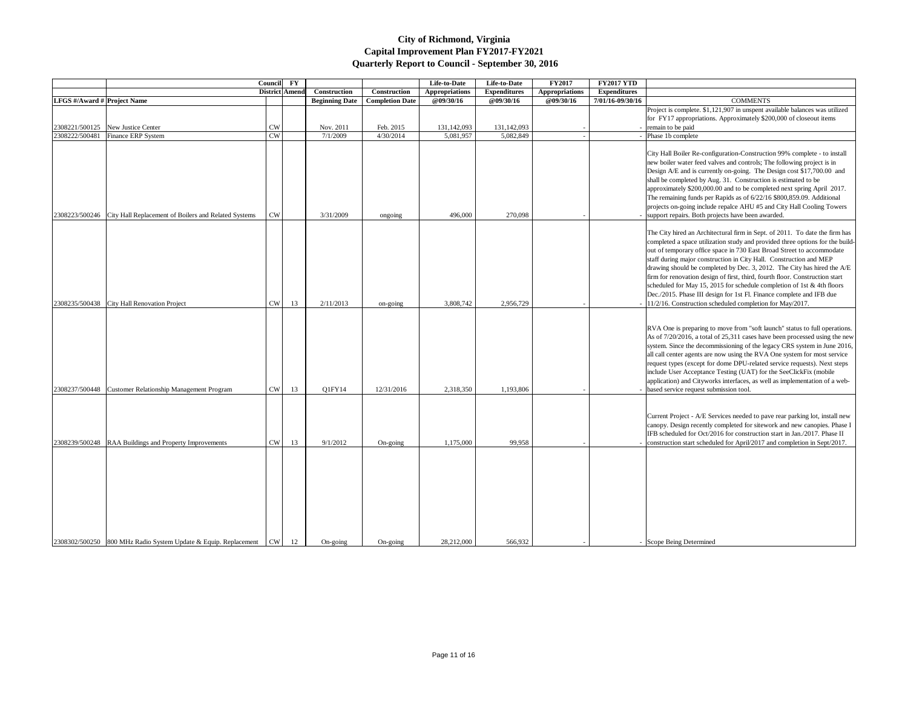|                             | <b>Council</b>                                                      | $\mathbf{F}\mathbf{Y}$ |                       |                       | Life-to-Date           | Life-to-Date          | <b>FY2017</b>       | <b>FY2017 YTD</b>     |                                                                                             |
|-----------------------------|---------------------------------------------------------------------|------------------------|-----------------------|-----------------------|------------------------|-----------------------|---------------------|-----------------------|---------------------------------------------------------------------------------------------|
|                             |                                                                     |                        | <b>District Amend</b> | Construction          | Construction           | <b>Appropriations</b> | <b>Expenditures</b> | <b>Appropriations</b> | <b>Expenditures</b>                                                                         |
| LFGS #/Award # Project Name |                                                                     |                        |                       | <b>Beginning Date</b> | <b>Completion Date</b> | @09/30/16             | @09/30/16           | @09/30/16             | <b>COMMENTS</b><br>7/01/16-09/30/16                                                         |
|                             |                                                                     |                        |                       |                       |                        |                       |                     |                       | Project is complete. \$1,121,907 in unspent at                                              |
|                             |                                                                     |                        |                       |                       |                        |                       |                     |                       | for FY17 appropriations. Approximately \$20                                                 |
| 2308221/500125              | New Justice Center                                                  | <b>CW</b>              |                       | Nov. 2011             | Feb. 2015              | 131,142,093           | 131,142,093         |                       | - remain to be paid                                                                         |
| 2308222/500481              | Finance ERP System                                                  | <b>CW</b>              |                       | 7/1/2009              | 4/30/2014              | 5,081,957             | 5,082,849           |                       | Phase 1b complete                                                                           |
|                             |                                                                     |                        |                       |                       |                        |                       |                     |                       |                                                                                             |
|                             |                                                                     |                        |                       |                       |                        |                       |                     |                       | City Hall Boiler Re-configuration-Constructi                                                |
|                             |                                                                     |                        |                       |                       |                        |                       |                     |                       | new boiler water feed valves and controls; Tl                                               |
|                             |                                                                     |                        |                       |                       |                        |                       |                     |                       | Design A/E and is currently on-going. The I                                                 |
|                             |                                                                     |                        |                       |                       |                        |                       |                     |                       | shall be completed by Aug. 31. Construction                                                 |
|                             |                                                                     |                        |                       |                       |                        |                       |                     |                       | approximately \$200,000.00 and to be comple                                                 |
|                             |                                                                     |                        |                       |                       |                        |                       |                     |                       | The remaining funds per Rapids as of 6/22/16                                                |
|                             |                                                                     |                        |                       |                       |                        |                       |                     |                       | projects on-going include repalce AHU #5 ar                                                 |
|                             | 2308223/500246 City Hall Replacement of Boilers and Related Systems | <b>CW</b>              |                       | 3/31/2009             | ongoing                | 496,000               | 270,098             |                       | - support repairs. Both projects have been awa                                              |
|                             |                                                                     |                        |                       |                       |                        |                       |                     |                       |                                                                                             |
|                             |                                                                     |                        |                       |                       |                        |                       |                     |                       | The City hired an Architectural firm in Sept.                                               |
|                             |                                                                     |                        |                       |                       |                        |                       |                     |                       | completed a space utilization study and provi                                               |
|                             |                                                                     |                        |                       |                       |                        |                       |                     |                       | out of temporary office space in 730 East Bro                                               |
|                             |                                                                     |                        |                       |                       |                        |                       |                     |                       | staff during major construction in City Hall.<br>drawing should be completed by Dec. 3, 201 |
|                             |                                                                     |                        |                       |                       |                        |                       |                     |                       | firm for renovation design of first, third, four                                            |
|                             |                                                                     |                        |                       |                       |                        |                       |                     |                       | scheduled for May 15, 2015 for schedule con                                                 |
|                             |                                                                     |                        |                       |                       |                        |                       |                     |                       | Dec./2015. Phase III design for 1st Fl. Finano                                              |
| 2308235/500438              | City Hall Renovation Project                                        | <b>CW</b>              | 13                    | 2/11/2013             | on-going               | 3,808,742             | 2,956,729           |                       | $-$ 11/2/16. Construction scheduled completion                                              |
|                             |                                                                     |                        |                       |                       |                        |                       |                     |                       |                                                                                             |
|                             |                                                                     |                        |                       |                       |                        |                       |                     |                       |                                                                                             |
|                             |                                                                     |                        |                       |                       |                        |                       |                     |                       | RVA One is preparing to move from "soft lat                                                 |
|                             |                                                                     |                        |                       |                       |                        |                       |                     |                       | As of 7/20/2016, a total of 25,311 cases have                                               |
|                             |                                                                     |                        |                       |                       |                        |                       |                     |                       | system. Since the decommissioning of the leg                                                |
|                             |                                                                     |                        |                       |                       |                        |                       |                     |                       | all call center agents are now using the RVA                                                |
|                             |                                                                     |                        |                       |                       |                        |                       |                     |                       | request types (except for dome DPU-related                                                  |
|                             |                                                                     |                        |                       |                       |                        |                       |                     |                       | include User Acceptance Testing (UAT) for                                                   |
|                             |                                                                     |                        |                       |                       |                        |                       |                     |                       | application) and Cityworks interfaces, as wel                                               |
| 2308237/500448              | Customer Relationship Management Program                            | ${\rm\bf CW}$          | 13                    | Q1FY14                | 12/31/2016             | 2,318,350             | 1,193,806           |                       | based service request submission tool.                                                      |
|                             |                                                                     |                        |                       |                       |                        |                       |                     |                       |                                                                                             |
|                             |                                                                     |                        |                       |                       |                        |                       |                     |                       |                                                                                             |
|                             |                                                                     |                        |                       |                       |                        |                       |                     |                       | Current Project - A/E Services needed to pay                                                |
|                             |                                                                     |                        |                       |                       |                        |                       |                     |                       | canopy. Design recently completed for sitewo                                                |
|                             |                                                                     |                        |                       |                       |                        |                       |                     |                       | IFB scheduled for Oct/2016 for construction                                                 |
| 2308239/500248              | RAA Buildings and Property Improvements                             | CW                     | 13                    | 9/1/2012              | On-going               | 1,175,000             | 99,958              |                       | construction start scheduled for April/2017 a                                               |
|                             |                                                                     |                        |                       |                       |                        |                       |                     |                       |                                                                                             |
|                             |                                                                     |                        |                       |                       |                        |                       |                     |                       |                                                                                             |
|                             |                                                                     |                        |                       |                       |                        |                       |                     |                       |                                                                                             |
|                             |                                                                     |                        |                       |                       |                        |                       |                     |                       |                                                                                             |
|                             |                                                                     |                        |                       |                       |                        |                       |                     |                       |                                                                                             |
|                             |                                                                     |                        |                       |                       |                        |                       |                     |                       |                                                                                             |
|                             |                                                                     |                        |                       |                       |                        |                       |                     |                       |                                                                                             |
|                             |                                                                     |                        |                       |                       |                        |                       |                     |                       |                                                                                             |
|                             |                                                                     |                        |                       |                       |                        |                       |                     |                       |                                                                                             |
|                             | 2308302/500250 800 MHz Radio System Update & Equip. Replacement     | CW                     | 12                    | On-going              | On-going               | 28,212,000            | 566,932             |                       | - Scope Being Determined                                                                    |

| 7 YTD   |                                                                                                                                                                                                                                                                                                                                                                                                                                                                                                                                                                                                                                                                                      |
|---------|--------------------------------------------------------------------------------------------------------------------------------------------------------------------------------------------------------------------------------------------------------------------------------------------------------------------------------------------------------------------------------------------------------------------------------------------------------------------------------------------------------------------------------------------------------------------------------------------------------------------------------------------------------------------------------------|
| litures |                                                                                                                                                                                                                                                                                                                                                                                                                                                                                                                                                                                                                                                                                      |
| 9/30/16 | <b>COMMENTS</b>                                                                                                                                                                                                                                                                                                                                                                                                                                                                                                                                                                                                                                                                      |
|         | Project is complete. \$1,121,907 in unspent available balances was utilized                                                                                                                                                                                                                                                                                                                                                                                                                                                                                                                                                                                                          |
|         | for FY17 appropriations. Approximately \$200,000 of closeout items                                                                                                                                                                                                                                                                                                                                                                                                                                                                                                                                                                                                                   |
|         | remain to be paid                                                                                                                                                                                                                                                                                                                                                                                                                                                                                                                                                                                                                                                                    |
|         | Phase 1b complete                                                                                                                                                                                                                                                                                                                                                                                                                                                                                                                                                                                                                                                                    |
|         | City Hall Boiler Re-configuration-Construction 99% complete - to install<br>new boiler water feed valves and controls; The following project is in<br>Design A/E and is currently on-going. The Design cost \$17,700.00 and<br>shall be completed by Aug. 31. Construction is estimated to be<br>approximately \$200,000.00 and to be completed next spring April 2017.<br>The remaining funds per Rapids as of 6/22/16 \$800,859.09. Additional<br>projects on-going include repalce AHU #5 and City Hall Cooling Towers<br>support repairs. Both projects have been awarded.                                                                                                       |
|         | The City hired an Architectural firm in Sept. of 2011. To date the firm has<br>completed a space utilization study and provided three options for the build-<br>out of temporary office space in 730 East Broad Street to accommodate<br>staff during major construction in City Hall. Construction and MEP<br>drawing should be completed by Dec. 3, 2012. The City has hired the A/E<br>firm for renovation design of first, third, fourth floor. Construction start<br>scheduled for May 15, 2015 for schedule completion of 1st & 4th floors<br>Dec./2015. Phase III design for 1st Fl. Finance complete and IFB due<br>11/2/16. Construction scheduled completion for May/2017. |
|         | RVA One is preparing to move from "soft launch" status to full operations.<br>As of 7/20/2016, a total of 25,311 cases have been processed using the new<br>system. Since the decommissioning of the legacy CRS system in June 2016,<br>all call center agents are now using the RVA One system for most service<br>request types (except for dome DPU-related service requests). Next steps<br>include User Acceptance Testing (UAT) for the SeeClickFix (mobile<br>application) and Cityworks interfaces, as well as implementation of a web-<br>based service request submission tool.                                                                                            |
|         | Current Project - A/E Services needed to pave rear parking lot, install new<br>canopy. Design recently completed for sitework and new canopies. Phase I<br>IFB scheduled for Oct/2016 for construction start in Jan./2017. Phase II<br>construction start scheduled for April/2017 and completion in Sept/2017.                                                                                                                                                                                                                                                                                                                                                                      |
|         |                                                                                                                                                                                                                                                                                                                                                                                                                                                                                                                                                                                                                                                                                      |
|         | Scope Being Determined                                                                                                                                                                                                                                                                                                                                                                                                                                                                                                                                                                                                                                                               |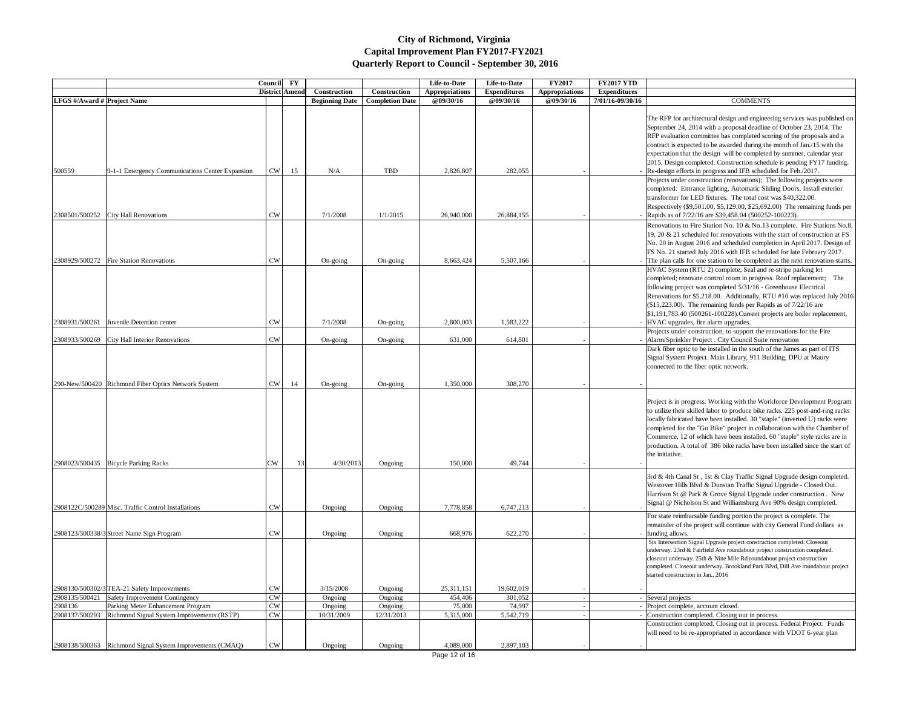|                                    |                                                           | Council FY            |      |                                       |                                        | Life-to-Date                       | Life-to-Date                            | <b>FY2017</b>                      | <b>FY2017 YTD</b>                       |                                                                                                 |
|------------------------------------|-----------------------------------------------------------|-----------------------|------|---------------------------------------|----------------------------------------|------------------------------------|-----------------------------------------|------------------------------------|-----------------------------------------|-------------------------------------------------------------------------------------------------|
| <b>LFGS</b> #/Award # Project Name |                                                           | <b>District Amend</b> |      | Construction<br><b>Beginning Date</b> | Construction<br><b>Completion Date</b> | <b>Appropriations</b><br>@09/30/16 | <b>Expenditures</b><br><b>@09/30/16</b> | <b>Appropriations</b><br>@09/30/16 | <b>Expenditures</b><br>7/01/16-09/30/16 | <b>COMMENTS</b>                                                                                 |
|                                    |                                                           |                       |      |                                       |                                        |                                    |                                         |                                    |                                         |                                                                                                 |
|                                    |                                                           |                       |      |                                       |                                        |                                    |                                         |                                    |                                         | The RFP for architectural design and engineerin                                                 |
|                                    |                                                           |                       |      |                                       |                                        |                                    |                                         |                                    |                                         | September 24, 2014 with a proposal deadline of<br>RFP evaluation committee has completed scorin |
|                                    |                                                           |                       |      |                                       |                                        |                                    |                                         |                                    |                                         | contract is expected to be awarded during the m                                                 |
|                                    |                                                           |                       |      |                                       |                                        |                                    |                                         |                                    |                                         | expectation that the design will be completed by                                                |
|                                    |                                                           |                       |      |                                       |                                        |                                    |                                         |                                    |                                         | 2015. Design completed. Construction schedule                                                   |
| 500559                             | 9-1-1 Emergency Communications Center Expansion           | CW                    | 15   | N/A                                   | <b>TBD</b>                             | 2,826,807                          | 282,055                                 |                                    |                                         | - Re-design efforts in progress and IFB scheduled                                               |
|                                    |                                                           |                       |      |                                       |                                        |                                    |                                         |                                    |                                         | Projects under construction (renovations); The                                                  |
|                                    |                                                           |                       |      |                                       |                                        |                                    |                                         |                                    |                                         | completed: Entrance lighting, Automatic Sliding                                                 |
|                                    |                                                           |                       |      |                                       |                                        |                                    |                                         |                                    |                                         | transformer for LED fixtures. The total cost wa                                                 |
|                                    |                                                           |                       |      |                                       |                                        |                                    |                                         |                                    |                                         | Respectively (\$9,501.00, \$5,129.00, \$25,692.00                                               |
|                                    | 2308501/500252 City Hall Renovations                      | <b>CW</b>             |      | 7/1/2008                              | 1/1/2015                               | 26,940,000                         | 26,884,155                              |                                    |                                         | Rapids as of 7/22/16 are \$39,458.04 (500252-10)                                                |
|                                    |                                                           |                       |      |                                       |                                        |                                    |                                         |                                    |                                         |                                                                                                 |
|                                    |                                                           |                       |      |                                       |                                        |                                    |                                         |                                    |                                         | Renovations to Fire Station No. 10 & No.13 cor                                                  |
|                                    |                                                           |                       |      |                                       |                                        |                                    |                                         |                                    |                                         | 19, 20 $\&$ 21 scheduled for renovations with the                                               |
|                                    |                                                           |                       |      |                                       |                                        |                                    |                                         |                                    |                                         | No. 20 in August 2016 and scheduled completio                                                   |
|                                    |                                                           |                       |      |                                       |                                        |                                    |                                         |                                    |                                         | FS No. 21 started July 2016 with IFB scheduled                                                  |
| 2308929/500272                     | <b>Fire Station Renovations</b>                           | <b>CW</b>             |      | On-going                              | On-going                               | 8,663,424                          | 5,507,166                               |                                    |                                         | - The plan calls for one station to be completed as                                             |
|                                    |                                                           |                       |      |                                       |                                        |                                    |                                         |                                    |                                         | HVAC System (RTU 2) complete; Seal and re-s                                                     |
|                                    |                                                           |                       |      |                                       |                                        |                                    |                                         |                                    |                                         | completed; renovate control room in progress. F                                                 |
|                                    |                                                           |                       |      |                                       |                                        |                                    |                                         |                                    |                                         | following project was completed 5/31/16 - Gree                                                  |
|                                    |                                                           |                       |      |                                       |                                        |                                    |                                         |                                    |                                         | Renovations for \$5,218.00. Additionally, RTU                                                   |
|                                    |                                                           |                       |      |                                       |                                        |                                    |                                         |                                    |                                         | (\$15,223.00). The remaining funds per Rapids a                                                 |
|                                    |                                                           |                       |      |                                       |                                        |                                    |                                         |                                    |                                         | \$1,191,783.40 (500261-100228). Current projec                                                  |
| 2308931/500261                     | Juvenile Detention center                                 | <b>CW</b>             |      | 7/1/2008                              | On-going                               | 2,800,003                          | 1,583,222                               |                                    |                                         | HVAC upgrades, fire alarm upgrades.                                                             |
|                                    |                                                           |                       |      |                                       |                                        |                                    |                                         |                                    |                                         | Projects under construction, to support the reno                                                |
| 2308933/500269                     | City Hall Interior Renovations                            | <b>CW</b>             |      | On-going                              | On-going                               | 631,000                            | 614,801                                 |                                    |                                         | Alarm/Sprinkler Project . City Council Suite ren                                                |
|                                    |                                                           |                       |      |                                       |                                        |                                    |                                         |                                    |                                         | Dark fiber optic to be installed in the south of th                                             |
|                                    |                                                           |                       |      |                                       |                                        |                                    |                                         |                                    |                                         | Signal System Project. Main Library, 911 Buildi                                                 |
|                                    |                                                           |                       |      |                                       |                                        |                                    |                                         |                                    |                                         | connected to the fiber optic network.                                                           |
|                                    |                                                           |                       |      |                                       |                                        |                                    |                                         |                                    |                                         |                                                                                                 |
|                                    | 290-New/500420 Richmond Fiber Optics Network System       | CW                    | - 14 | On-going                              | On-going                               | 1,350,000                          | 308,270                                 |                                    |                                         |                                                                                                 |
|                                    |                                                           |                       |      |                                       |                                        |                                    |                                         |                                    |                                         |                                                                                                 |
|                                    |                                                           |                       |      |                                       |                                        |                                    |                                         |                                    |                                         | Project is in progress. Working with the Workfo                                                 |
|                                    |                                                           |                       |      |                                       |                                        |                                    |                                         |                                    |                                         | to utilize their skilled labor to produce bike rack                                             |
|                                    |                                                           |                       |      |                                       |                                        |                                    |                                         |                                    |                                         | locally fabricated have been installed. 30 "staple"                                             |
|                                    |                                                           |                       |      |                                       |                                        |                                    |                                         |                                    |                                         | completed for the "Go Bike" project in collabora                                                |
|                                    |                                                           |                       |      |                                       |                                        |                                    |                                         |                                    |                                         | Commerce, 12 of which have been installed. 60                                                   |
|                                    |                                                           |                       |      |                                       |                                        |                                    |                                         |                                    |                                         | production. A total of 386 bike racks have been                                                 |
|                                    |                                                           |                       |      |                                       |                                        |                                    |                                         |                                    |                                         | the initiative.                                                                                 |
|                                    | 2908023/500435   Bicycle Parking Racks                    | CW                    | 13   | 4/30/2013                             | Ongoing                                | 150,000                            | 49,744                                  |                                    |                                         |                                                                                                 |
|                                    |                                                           |                       |      |                                       |                                        |                                    |                                         |                                    |                                         | 3rd & 4th Canal St, 1st & Clay Traffic Signal U                                                 |
|                                    |                                                           |                       |      |                                       |                                        |                                    |                                         |                                    |                                         | Westover Hills Blvd & Dunstan Traffic Signal U                                                  |
|                                    |                                                           |                       |      |                                       |                                        |                                    |                                         |                                    |                                         | Harrison St @ Park & Grove Signal Upgrade ur                                                    |
|                                    | 2908122C/500289 Misc. Traffic Control Installations       | <b>CW</b>             |      | Ongoing                               | Ongoing                                | 7,778,858                          | 6,747,213                               |                                    |                                         | Signal @ Nicholson St and Williamsburg Ave 90                                                   |
|                                    |                                                           |                       |      |                                       |                                        |                                    |                                         |                                    |                                         | For state reimbursable funding portion the proje                                                |
|                                    |                                                           |                       |      |                                       |                                        |                                    |                                         |                                    |                                         | remainder of the project will continue with city (                                              |
|                                    | 2908123/500338/3 Street Name Sign Program                 | <b>CW</b>             |      | Ongoing                               |                                        | 668,976                            | 622,270                                 |                                    |                                         | funding allows.                                                                                 |
|                                    |                                                           |                       |      |                                       | Ongoing                                |                                    |                                         |                                    |                                         | Six Intersection Signal Upgrade project construction                                            |
|                                    |                                                           |                       |      |                                       |                                        |                                    |                                         |                                    |                                         | underway. 23rd & Fairfield Ave roundabout project co                                            |
|                                    |                                                           |                       |      |                                       |                                        |                                    |                                         |                                    |                                         | closeout underway. 25th & Nine Mile Rd roundabout                                               |
|                                    |                                                           |                       |      |                                       |                                        |                                    |                                         |                                    |                                         | completed. Closeout underway. Brookland Park Blvd,                                              |
|                                    |                                                           |                       |      |                                       |                                        |                                    |                                         |                                    |                                         | started construction in Jan., 2016                                                              |
|                                    |                                                           |                       |      |                                       |                                        |                                    |                                         |                                    |                                         |                                                                                                 |
|                                    | 2908130/500302/3 TEA-21 Safety Improvements               | <b>CW</b>             |      | 3/15/2008                             | Ongoing                                | 25,311,151                         | 19,602,019                              |                                    |                                         |                                                                                                 |
| 2908135/500421                     | Safety Improvement Contingency                            | <b>CW</b>             |      | Ongoing                               | Ongoing                                | 454,406                            | 301,052                                 |                                    |                                         | - Several projects                                                                              |
| 2908136                            | Parking Meter Enhancement Program                         | <b>CW</b>             |      | Ongoing                               | Ongoing                                | 75,000                             | 74,997                                  |                                    |                                         | - Project complete, account closed.                                                             |
| 2908137/500293                     | Richmond Signal System Improvements (RSTP)                | <b>CW</b>             |      | 10/31/2009                            | 12/31/2013                             | 5,315,000                          | 5,542,719                               |                                    |                                         | Construction completed. Closing out in process.                                                 |
|                                    |                                                           |                       |      |                                       |                                        |                                    |                                         |                                    |                                         | Construction completed. Closing out in process.                                                 |
|                                    |                                                           |                       |      |                                       |                                        |                                    |                                         |                                    |                                         | will need to be re-appropriated in accordance wi                                                |
|                                    | 2908138/500363 Richmond Signal System Improvements (CMAQ) | <b>CW</b>             |      | Ongoing                               | Ongoing                                | 4,089,000                          | 2,897,103                               |                                    |                                         |                                                                                                 |
|                                    |                                                           |                       |      |                                       |                                        |                                    |                                         |                                    |                                         |                                                                                                 |

| <b>YTD</b>        |                                                                                                                                                                                                                                                                                                                                                                                                                                                                                                                              |
|-------------------|------------------------------------------------------------------------------------------------------------------------------------------------------------------------------------------------------------------------------------------------------------------------------------------------------------------------------------------------------------------------------------------------------------------------------------------------------------------------------------------------------------------------------|
| itures<br>9/30/16 | <b>COMMENTS</b>                                                                                                                                                                                                                                                                                                                                                                                                                                                                                                              |
|                   | The RFP for architectural design and engineering services was published on<br>September 24, 2014 with a proposal deadline of October 23, 2014. The<br>RFP evaluation committee has completed scoring of the proposals and a<br>contract is expected to be awarded during the month of Jan./15 with the<br>expectation that the design will be completed by summer, calendar year<br>2015. Design completed. Construction schedule is pending FY17 funding.<br>Re-design efforts in progress and IFB scheduled for Feb./2017. |
|                   | Projects under construction (renovations); The following projects were<br>completed: Entrance lighting, Automatic Sliding Doors, Install exterior<br>transformer for LED fixtures. The total cost was \$40,322.00.<br>Respectively (\$9,501.00, \$5,129.00, \$25,692.00) The remaining funds per<br>Rapids as of 7/22/16 are \$39,458.04 (500252-100223).                                                                                                                                                                    |
|                   | Renovations to Fire Station No. 10 & No.13 complete. Fire Stations No.8,<br>19, 20 $\&$ 21 scheduled for renovations with the start of construction at FS<br>No. 20 in August 2016 and scheduled completion in April 2017. Design of<br>FS No. 21 started July 2016 with IFB scheduled for late February 2017.<br>The plan calls for one station to be completed as the next renovation starts.                                                                                                                              |
|                   | HVAC System (RTU 2) complete; Seal and re-stripe parking lot<br>completed; renovate control room in progress. Roof replacement;<br>The<br>following project was completed 5/31/16 - Greenhouse Electrical<br>Renovations for \$5,218.00. Additionally, RTU #10 was replaced July 2016<br>$(\$15,223.00)$ . The remaining funds per Rapids as of $7/22/16$ are<br>\$1,191,783.40 (500261-100228). Current projects are boiler replacement,<br>HVAC upgrades, fire alarm upgrades.                                             |
|                   | Projects under construction, to support the renovations for the Fire                                                                                                                                                                                                                                                                                                                                                                                                                                                         |
|                   | Alarm/Sprinkler Project . City Council Suite renovation<br>Dark fiber optic to be installed in the south of the James as part of ITS<br>Signal System Project. Main Library, 911 Building, DPU at Maury<br>connected to the fiber optic network.                                                                                                                                                                                                                                                                             |
|                   | Project is in progress. Working with the Workforce Development Program<br>to utilize their skilled labor to produce bike racks. 225 post-and-ring racks<br>locally fabricated have been installed. 30 "staple" (inverted U) racks were<br>completed for the "Go Bike" project in collaboration with the Chamber of<br>Commerce, 12 of which have been installed. 60 "staple" style racks are in<br>production. A total of 386 bike racks have been installed since the start of<br>the initiative.                           |
|                   | 3rd & 4th Canal St, 1st & Clay Traffic Signal Upgrade design completed.<br>Westover Hills Blvd & Dunstan Traffic Signal Upgrade - Closed Out.<br>Harrison St @ Park & Grove Signal Upgrade under construction. New<br>Signal @ Nicholson St and Williamsburg Ave 90% design completed.                                                                                                                                                                                                                                       |
|                   | For state reimbursable funding portion the project is complete. The<br>remainder of the project will continue with city General Fund dollars as<br>funding allows.                                                                                                                                                                                                                                                                                                                                                           |
|                   | Six Intersection Signal Upgrade project construction completed. Closeout<br>underway. 23rd & Fairfield Ave roundabout project construction completed.<br>closeout underway. 25th & Nine Mile Rd roundabout project construction<br>completed. Closeout underway. Brookland Park Blvd, Dill Ave roundabout project<br>started construction in Jan., 2016                                                                                                                                                                      |
|                   | Several projects                                                                                                                                                                                                                                                                                                                                                                                                                                                                                                             |
|                   | Project complete, account closed.<br>Construction completed. Closing out in process.                                                                                                                                                                                                                                                                                                                                                                                                                                         |
|                   | Construction completed. Closing out in process. Federal Project. Funds<br>will need to be re-appropriated in accordance with VDOT 6-year plan                                                                                                                                                                                                                                                                                                                                                                                |
|                   |                                                                                                                                                                                                                                                                                                                                                                                                                                                                                                                              |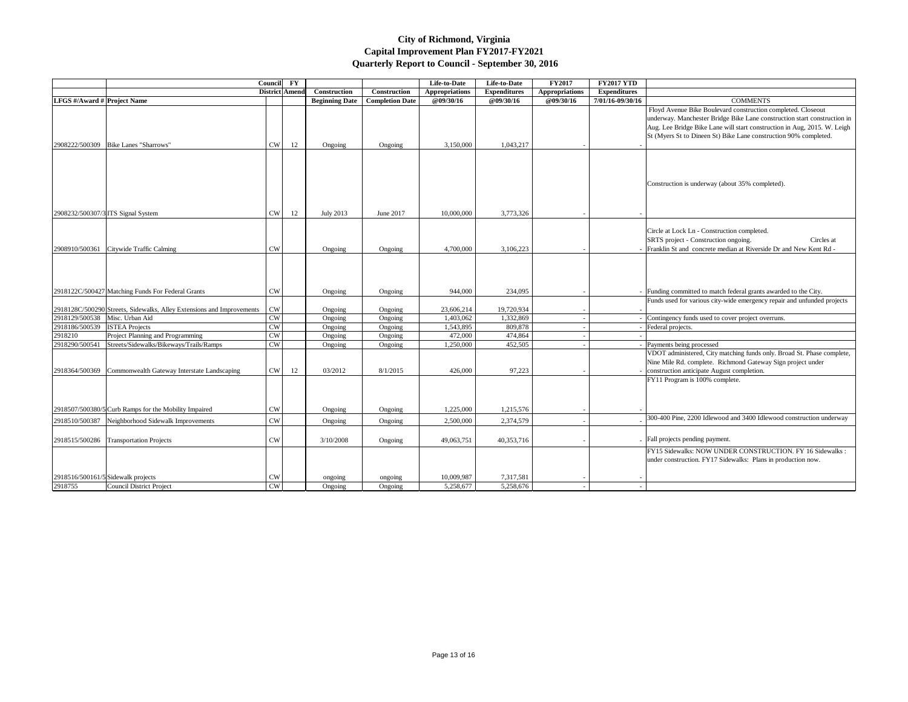|                                  |                                                                       | <b>Council</b> | $\mathbf{F}\mathbf{Y}$ |                       |                        | Life-to-Date          | Life-to-Date        | <b>FY2017</b>         | <b>FY2017 YTD</b>   |                                                                |
|----------------------------------|-----------------------------------------------------------------------|----------------|------------------------|-----------------------|------------------------|-----------------------|---------------------|-----------------------|---------------------|----------------------------------------------------------------|
|                                  |                                                                       |                | <b>District Amend</b>  | Construction          | <b>Construction</b>    | <b>Appropriations</b> | <b>Expenditures</b> | <b>Appropriations</b> | <b>Expenditures</b> |                                                                |
| LFGS #/Award # Project Name      |                                                                       |                |                        | <b>Beginning Date</b> | <b>Completion Date</b> | @09/30/16             | @09/30/16           | @09/30/16             | 7/01/16-09/30/16    | <b>COMMENTS</b>                                                |
|                                  |                                                                       |                |                        |                       |                        |                       |                     |                       |                     | Floyd Avenue Bike Boulevard construction completed. Closeou    |
|                                  |                                                                       |                |                        |                       |                        |                       |                     |                       |                     | underway. Manchester Bridge Bike Lane construction start cons  |
|                                  |                                                                       |                |                        |                       |                        |                       |                     |                       |                     | Aug. Lee Bridge Bike Lane will start construction in Aug, 2015 |
|                                  |                                                                       |                |                        |                       |                        |                       |                     |                       |                     | St (Myers St to Dineen St) Bike Lane construction 90% comple   |
| 2908222/500309                   | Bike Lanes "Sharrows"                                                 | <b>CW</b>      | 12                     | Ongoing               | Ongoing                | 3,150,000             | 1,043,217           |                       |                     |                                                                |
|                                  |                                                                       |                |                        |                       |                        |                       |                     |                       |                     |                                                                |
|                                  |                                                                       |                |                        |                       |                        |                       |                     |                       |                     |                                                                |
|                                  |                                                                       |                |                        |                       |                        |                       |                     |                       |                     | Construction is underway (about 35% completed).                |
|                                  |                                                                       |                |                        |                       |                        |                       |                     |                       |                     |                                                                |
|                                  | 2908232/500307/3 ITS Signal System                                    | CW             | 12                     | <b>July 2013</b>      | June 2017              | 10,000,000            | 3,773,326           |                       |                     |                                                                |
|                                  |                                                                       |                |                        |                       |                        |                       |                     |                       |                     | Circle at Lock Ln - Construction completed.                    |
|                                  |                                                                       |                |                        |                       |                        |                       |                     |                       |                     | SRTS project - Construction ongoing.<br>Circ                   |
|                                  | 2908910/500361 Citywide Traffic Calming                               | <b>CW</b>      |                        | Ongoing               | Ongoing                | 4,700,000             | 3,106,223           |                       |                     | Franklin St and concrete median at Riverside Dr and New Kent   |
|                                  |                                                                       |                |                        |                       |                        |                       |                     |                       |                     |                                                                |
|                                  |                                                                       |                |                        |                       |                        |                       |                     |                       |                     |                                                                |
|                                  | 2918122C/500427 Matching Funds For Federal Grants                     | $_{\rm CW}$    |                        | Ongoing               | Ongoing                | 944,000               | 234,095             |                       |                     | Funding committed to match federal grants awarded to the City. |
|                                  |                                                                       |                |                        |                       |                        |                       |                     |                       |                     | Funds used for various city-wide emergency repair and unfunded |
|                                  | 2918128C/500290 Streets, Sidewalks, Alley Extensions and Improvements | <b>CW</b>      |                        | Ongoing               | Ongoing                | 23,606,214            | 19,720,934          |                       |                     |                                                                |
| 2918129/500538   Misc. Urban Aid |                                                                       | <b>CW</b>      |                        | Ongoing               | Ongoing                | 1,403,062             | 1,332,869           |                       |                     | Contingency funds used to cover project overruns.              |
| 2918186/500539                   | <b>ISTEA</b> Projects                                                 | CW             |                        | Ongoing               | Ongoing                | 1,543,895             | 809,878             |                       |                     | Federal projects.                                              |
| 2918210                          | Project Planning and Programming                                      | <b>CW</b>      |                        | Ongoing               | Ongoing                | 472,000               | 474,864             |                       |                     |                                                                |
| 2918290/500541                   | Streets/Sidewalks/Bikeways/Trails/Ramps                               | <b>CW</b>      |                        | Ongoing               | Ongoing                | 1,250,000             | 452,505             |                       |                     | Payments being processed                                       |
|                                  |                                                                       |                |                        |                       |                        |                       |                     |                       |                     | VDOT administered, City matching funds only. Broad St. Phase   |
|                                  |                                                                       |                |                        |                       |                        |                       |                     |                       |                     | Nine Mile Rd. complete. Richmond Gateway Sign project unde     |
| 2918364/500369                   | Commonwealth Gateway Interstate Landscaping                           | <b>CW</b>      | 12                     | 03/2012               | 8/1/2015               | 426,000               | 97,223              |                       |                     | construction anticipate August completion.                     |
|                                  |                                                                       |                |                        |                       |                        |                       |                     |                       |                     | FY11 Program is 100% complete.                                 |
|                                  |                                                                       |                |                        |                       |                        |                       |                     |                       |                     |                                                                |
|                                  | 2918507/500380/5 Curb Ramps for the Mobility Impaired                 | <b>CW</b>      |                        | Ongoing               | Ongoing                | 1,225,000             | 1,215,576           |                       |                     |                                                                |
| 2918510/500387                   | Neighborhood Sidewalk Improvements                                    | <b>CW</b>      |                        | Ongoing               | Ongoing                | 2,500,000             | 2,374,579           |                       |                     | 300-400 Pine, 2200 Idlewood and 3400 Idlewood construction     |
|                                  | 2918515/500286 Transportation Projects                                | <b>CW</b>      |                        | 3/10/2008             | Ongoing                | 49,063,751            | 40,353,716          |                       |                     | Fall projects pending payment.                                 |
|                                  |                                                                       |                |                        |                       |                        |                       |                     |                       |                     | FY15 Sidewalks: NOW UNDER CONSTRUCTION. FY 16 Sid              |
|                                  |                                                                       |                |                        |                       |                        |                       |                     |                       |                     | under construction. FY17 Sidewalks: Plans in production now.   |
|                                  | 2918516/500161/5 Sidewalk projects                                    | <b>CW</b>      |                        | ongoing               | ongoing                | 10,009,987            | 7,317,581           |                       |                     |                                                                |
| 2918755                          | Council District Project                                              | <b>CW</b>      |                        | Ongoing               | Ongoing                | 5,258,677             | 5,258,676           |                       |                     |                                                                |

| 7 YTD   |                                                                                                                                                                                                                                                                                          |
|---------|------------------------------------------------------------------------------------------------------------------------------------------------------------------------------------------------------------------------------------------------------------------------------------------|
| litures |                                                                                                                                                                                                                                                                                          |
| 9/30/16 | <b>COMMENTS</b>                                                                                                                                                                                                                                                                          |
|         | Floyd Avenue Bike Boulevard construction completed. Closeout<br>underway. Manchester Bridge Bike Lane construction start construction in<br>Aug. Lee Bridge Bike Lane will start construction in Aug, 2015. W. Leigh<br>St (Myers St to Dineen St) Bike Lane construction 90% completed. |
|         | Construction is underway (about 35% completed).                                                                                                                                                                                                                                          |
|         | Circle at Lock Ln - Construction completed.<br>SRTS project - Construction ongoing.<br>Circles at<br>Franklin St and concrete median at Riverside Dr and New Kent Rd -                                                                                                                   |
|         | Funding committed to match federal grants awarded to the City.<br>Funds used for various city-wide emergency repair and unfunded projects                                                                                                                                                |
|         | Contingency funds used to cover project overruns.                                                                                                                                                                                                                                        |
|         |                                                                                                                                                                                                                                                                                          |
|         | Federal projects.                                                                                                                                                                                                                                                                        |
|         |                                                                                                                                                                                                                                                                                          |
|         | Payments being processed<br>VDOT administered, City matching funds only. Broad St. Phase complete,                                                                                                                                                                                       |
|         | Nine Mile Rd. complete. Richmond Gateway Sign project under<br>construction anticipate August completion.<br>FY11 Program is 100% complete.                                                                                                                                              |
|         |                                                                                                                                                                                                                                                                                          |
|         | 300-400 Pine, 2200 Idlewood and 3400 Idlewood construction underway                                                                                                                                                                                                                      |
|         | Fall projects pending payment.                                                                                                                                                                                                                                                           |
|         | FY15 Sidewalks: NOW UNDER CONSTRUCTION. FY 16 Sidewalks :<br>under construction. FY17 Sidewalks: Plans in production now.                                                                                                                                                                |
|         |                                                                                                                                                                                                                                                                                          |
|         |                                                                                                                                                                                                                                                                                          |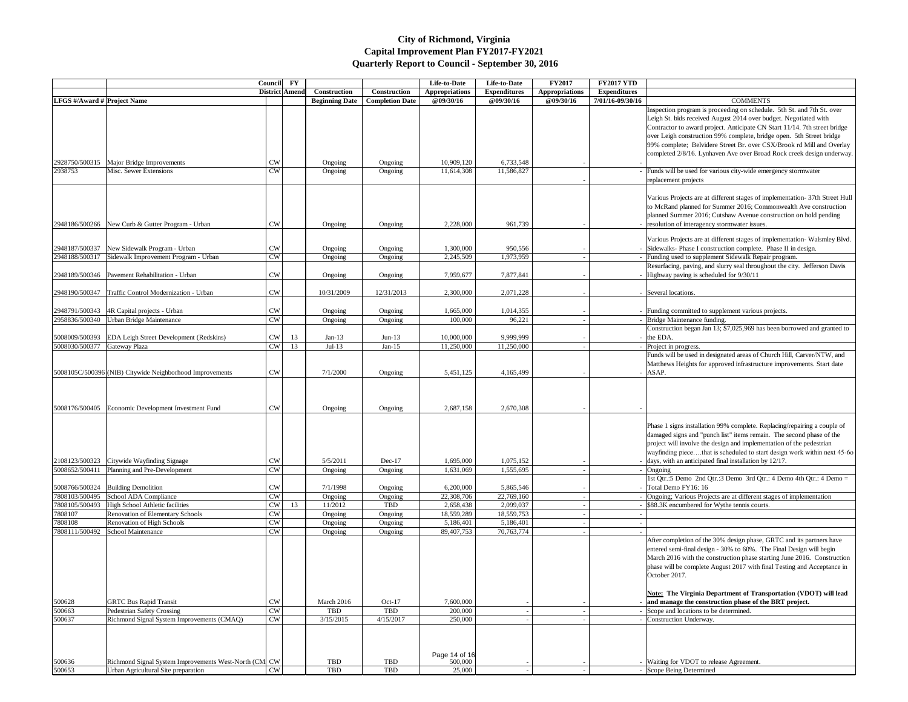| <b>FY2017 YTD</b>   |                                                                                                                    |
|---------------------|--------------------------------------------------------------------------------------------------------------------|
| <b>Expenditures</b> |                                                                                                                    |
| 7/01/16-09/30/16    | <b>COMMENTS</b>                                                                                                    |
|                     | Inspection program is proceeding on schedule. 5th St. and 7th St. over                                             |
|                     | Leigh St. bids received August 2014 over budget. Negotiated with                                                   |
|                     | Contractor to award project. Anticipate CN Start 11/14. 7th street bridge                                          |
|                     | over Leigh construction 99% complete, bridge open. 5th Street bridge                                               |
|                     | 99% complete; Belvidere Street Br. over CSX/Brook rd Mill and Overlay                                              |
|                     | completed 2/8/16. Lynhaven Ave over Broad Rock creek design underway.                                              |
|                     |                                                                                                                    |
|                     | Funds will be used for various city-wide emergency stormwater                                                      |
|                     | replacement projects                                                                                               |
|                     |                                                                                                                    |
|                     | Various Projects are at different stages of implementation-37th Street Hull                                        |
|                     | to McRand planned for Summer 2016; Commonwealth Ave construction                                                   |
|                     | planned Summer 2016; Cutshaw Avenue construction on hold pending                                                   |
|                     | resolution of interagency stormwater issues.                                                                       |
|                     |                                                                                                                    |
|                     | Various Projects are at different stages of implementation- Walsmley Blvd.                                         |
|                     | Sidewalks- Phase I construction complete. Phase II in design.                                                      |
|                     | Funding used to supplement Sidewalk Repair program.                                                                |
|                     | Resurfacing, paving, and slurry seal throughout the city. Jefferson Davis                                          |
|                     | Highway paving is scheduled for 9/30/11                                                                            |
|                     |                                                                                                                    |
|                     | Several locations.                                                                                                 |
|                     |                                                                                                                    |
|                     | - Funding committed to supplement various projects.                                                                |
|                     | Bridge Maintenance funding.                                                                                        |
|                     | Construction began Jan 13; \$7,025,969 has been borrowed and granted to                                            |
|                     | the EDA.                                                                                                           |
|                     | - Project in progress.                                                                                             |
|                     | Funds will be used in designated areas of Church Hill, Carver/NTW, and                                             |
|                     | Matthews Heights for approved infrastructure improvements. Start date                                              |
|                     | ASAP.                                                                                                              |
|                     |                                                                                                                    |
|                     |                                                                                                                    |
|                     |                                                                                                                    |
|                     |                                                                                                                    |
|                     |                                                                                                                    |
|                     | Phase 1 signs installation 99% complete. Replacing/repairing a couple of                                           |
|                     | damaged signs and "punch list" items remain. The second phase of the                                               |
|                     | project will involve the design and implementation of the pedestrian                                               |
|                     | wayfinding piecethat is scheduled to start design work within next 45-60                                           |
|                     | days, with an anticipated final installation by 12/17.                                                             |
|                     | - Ongoing                                                                                                          |
|                     | 1st Qtr.:5 Demo 2nd Qtr.:3 Demo 3rd Qtr.: 4 Demo 4th Qtr.: 4 Demo =                                                |
|                     | Total Demo FY16: 16                                                                                                |
|                     | Ongoing; Various Projects are at different stages of implementation<br>\$88.3K encumbered for Wythe tennis courts. |
|                     |                                                                                                                    |
| ۰                   |                                                                                                                    |
|                     |                                                                                                                    |
|                     | After completion of the 30% design phase, GRTC and its partners have                                               |
|                     | entered semi-final design - 30% to 60%. The Final Design will begin                                                |
|                     | March 2016 with the construction phase starting June 2016. Construction                                            |
|                     | phase will be complete August 2017 with final Testing and Acceptance in                                            |
|                     | October 2017.                                                                                                      |
|                     |                                                                                                                    |
|                     | <b>Note:</b> The Virginia Department of Transportation (VDOT) will lead                                            |
|                     | and manage the construction phase of the BRT project.                                                              |
|                     | Scope and locations to be determined.                                                                              |
|                     | Construction Underway.                                                                                             |
|                     |                                                                                                                    |
|                     |                                                                                                                    |
|                     |                                                                                                                    |
|                     |                                                                                                                    |
|                     | Waiting for VDOT to release Agreement.                                                                             |
|                     | Scope Being Determined                                                                                             |

|                                    |                                                                                           | Council             | <b>FY</b>      |                       |                        | Life-to-Date             | Life-to-Date            | <b>FY2017</b>         | <b>FY2017 YTD</b>   |                                                                                                                                                                                                                                                                                                                                                         |
|------------------------------------|-------------------------------------------------------------------------------------------|---------------------|----------------|-----------------------|------------------------|--------------------------|-------------------------|-----------------------|---------------------|---------------------------------------------------------------------------------------------------------------------------------------------------------------------------------------------------------------------------------------------------------------------------------------------------------------------------------------------------------|
|                                    |                                                                                           |                     | District Amend | Construction          | Construction           | <b>Appropriations</b>    | <b>Expenditures</b>     | <b>Appropriations</b> | <b>Expenditures</b> |                                                                                                                                                                                                                                                                                                                                                         |
| <b>LFGS</b> #/Award # Project Name |                                                                                           |                     |                | <b>Beginning Date</b> | <b>Completion Date</b> | <b>@09/30/16</b>         | @09/30/16               | @09/30/16             | 7/01/16-09/30/16    | <b>COMMENTS</b>                                                                                                                                                                                                                                                                                                                                         |
|                                    |                                                                                           |                     |                |                       |                        |                          |                         |                       |                     | Inspection program is proceeding on schedule. 5th St. and 7th St.<br>Leigh St. bids received August 2014 over budget. Negotiated with<br>Contractor to award project. Anticipate CN Start 11/14. 7th street                                                                                                                                             |
|                                    |                                                                                           |                     |                |                       |                        |                          |                         |                       |                     | over Leigh construction 99% complete, bridge open. 5th Street bri<br>99% complete; Belvidere Street Br. over CSX/Brook rd Mill and O<br>completed 2/8/16. Lynhaven Ave over Broad Rock creek design un                                                                                                                                                  |
|                                    | 2928750/500315   Major Bridge Improvements                                                | CW                  |                | Ongoing               | Ongoing                | 10,909,120               | 6,733,548               |                       |                     |                                                                                                                                                                                                                                                                                                                                                         |
| 2938753                            | Misc. Sewer Extensions                                                                    | CW                  |                | Ongoing               | Ongoing                | 11,614,308               | 11,586,827              |                       |                     | - Funds will be used for various city-wide emergency stormwater<br>replacement projects                                                                                                                                                                                                                                                                 |
|                                    | 2948186/500266 New Curb & Gutter Program - Urban                                          | CW                  |                | Ongoing               | Ongoing                | 2,228,000                | 961,739                 |                       |                     | Various Projects are at different stages of implementation- 37th Str<br>to McRand planned for Summer 2016; Commonwealth Ave constru<br>planned Summer 2016; Cutshaw Avenue construction on hold pend<br>- resolution of interagency stormwater issues.                                                                                                  |
|                                    |                                                                                           |                     |                |                       |                        |                          |                         |                       |                     | Various Projects are at different stages of implementation-Walsmle                                                                                                                                                                                                                                                                                      |
| 2948187/500337                     | New Sidewalk Program - Urban                                                              | CW                  |                | Ongoing               | Ongoing                | 1,300,000                | 950,556                 |                       |                     | - Sidewalks-Phase I construction complete. Phase II in design.                                                                                                                                                                                                                                                                                          |
| 2948188/500317                     | Sidewalk Improvement Program - Urban                                                      | CW                  |                | Ongoing               | Ongoing                | 2,245,509                | 1,973,959               |                       |                     | - Funding used to supplement Sidewalk Repair program.                                                                                                                                                                                                                                                                                                   |
|                                    | 2948189/500346   Pavement Rehabilitation - Urban                                          | $\text{CW}$         |                | Ongoing               | Ongoing                | 7,959,677                | 7,877,841               |                       |                     | Resurfacing, paving, and slurry seal throughout the city. Jefferson 1<br>- Highway paving is scheduled for $9/30/11$                                                                                                                                                                                                                                    |
|                                    | 2948190/500347   Traffic Control Modernization - Urban                                    | CW                  |                | 10/31/2009            | 12/31/2013             | 2,300,000                | 2,071,228               |                       |                     | - Several locations.                                                                                                                                                                                                                                                                                                                                    |
|                                    |                                                                                           |                     |                |                       |                        |                          |                         |                       |                     |                                                                                                                                                                                                                                                                                                                                                         |
|                                    | 2948791/500343   4R Capital projects - Urban<br>2958836/500340   Urban Bridge Maintenance | CW<br>CW            |                | Ongoing<br>Ongoing    | Ongoing<br>Ongoing     | 1,665,000<br>100,000     | 1,014,355<br>96,221     |                       |                     | - Funding committed to supplement various projects.<br>- Bridge Maintenance funding.                                                                                                                                                                                                                                                                    |
|                                    |                                                                                           |                     |                |                       |                        |                          |                         |                       |                     | Construction began Jan 13; \$7,025,969 has been borrowed and gra                                                                                                                                                                                                                                                                                        |
|                                    | 5008009/500393 EDA Leigh Street Development (Redskins)                                    | CW                  | 13             | Jan-13                | $Jun-13$               | 10,000,000               | 9,999,999               |                       |                     | $-$ the EDA.                                                                                                                                                                                                                                                                                                                                            |
| 5008030/500377 Gateway Plaza       |                                                                                           | CW                  | 13             | $Jul-13$              | Jan- $15$              | 11,250,000               | 11,250,000              |                       |                     | - Project in progress.                                                                                                                                                                                                                                                                                                                                  |
|                                    |                                                                                           |                     |                |                       |                        |                          |                         |                       |                     | Funds will be used in designated areas of Church Hill, Carver/NTW<br>Matthews Heights for approved infrastructure improvements. Start                                                                                                                                                                                                                   |
|                                    | 5008105C/500396 (NIB) Citywide Neighborhood Improvements                                  | CW                  |                | 7/1/2000              | Ongoing                | 5,451,125                | 4,165,499               |                       |                     | $-$ ASAP.                                                                                                                                                                                                                                                                                                                                               |
|                                    |                                                                                           |                     |                |                       |                        |                          |                         |                       |                     |                                                                                                                                                                                                                                                                                                                                                         |
|                                    | 5008176/500405 Economic Development Investment Fund                                       | <b>CW</b>           |                | Ongoing               | Ongoing                | 2,687,158                | 2,670,308               |                       |                     |                                                                                                                                                                                                                                                                                                                                                         |
|                                    | 2108123/500323 Citywide Wayfinding Signage                                                | <b>CW</b>           |                | 5/5/2011              | $Dec-17$               | 1,695,000                | 1,075,152               |                       |                     | Phase 1 signs installation 99% complete. Replacing/repairing a coup<br>damaged signs and "punch list" items remain. The second phase of<br>project will involve the design and implementation of the pedestrian<br>wayfinding piecethat is scheduled to start design work within ne<br>- $\vert$ days, with an anticipated final installation by 12/17. |
| 5008652/500411                     | Planning and Pre-Development                                                              | CW                  |                | Ongoing               | Ongoing                | 1,631,069                | 1,555,695               |                       |                     | $-$ Ongoing                                                                                                                                                                                                                                                                                                                                             |
|                                    |                                                                                           |                     |                |                       |                        |                          |                         |                       |                     | 1st Qtr.:5 Demo 2nd Qtr.:3 Demo 3rd Qtr.: 4 Demo 4th Qtr.: 4 D                                                                                                                                                                                                                                                                                          |
| 5008766/500324                     | <b>Building Demolition</b>                                                                | $\mathrm{CW}$       |                | 7/1/1998              | Ongoing                | 6,200,000                | 5,865,546               |                       |                     | - Total Demo FY16: 16                                                                                                                                                                                                                                                                                                                                   |
| 7808103/500495                     | School ADA Compliance                                                                     | CW                  |                | Ongoing               | Ongoing                | 22,308,706               | 22,769,160              |                       |                     | - Ongoing; Various Projects are at different stages of implementation                                                                                                                                                                                                                                                                                   |
| 7808105/500493                     | High School Athletic facilities                                                           | CW                  | 13             | 11/2012               | TBD                    | 2,658,438                | 2,099,037               |                       |                     | - \$88.3K encumbered for Wythe tennis courts.                                                                                                                                                                                                                                                                                                           |
| 7808107                            | Renovation of Elementary Schools                                                          | $\text{CW}$         |                | Ongoing               | Ongoing                | 18,559,289               | 18,559,753              |                       |                     |                                                                                                                                                                                                                                                                                                                                                         |
| 7808108                            | Renovation of High Schools<br>7808111/500492 School Maintenance                           | $\mathrm{CW}$<br>CW |                | Ongoing<br>Ongoing    | Ongoing<br>Ongoing     | 5,186,401<br>89,407,753  | 5,186,401<br>70,763,774 |                       |                     |                                                                                                                                                                                                                                                                                                                                                         |
|                                    |                                                                                           |                     |                |                       |                        |                          |                         |                       |                     | After completion of the 30% design phase, GRTC and its partners l<br>entered semi-final design - 30% to 60%. The Final Design will beg<br>March 2016 with the construction phase starting June 2016. Const<br>phase will be complete August 2017 with final Testing and Accepta<br>October 2017.                                                        |
|                                    |                                                                                           |                     |                |                       |                        |                          |                         |                       |                     | <b>Note: The Virginia Department of Transportation (VDOT) will</b>                                                                                                                                                                                                                                                                                      |
| 500628                             | <b>GRTC Bus Rapid Transit</b>                                                             | CW                  |                | March 2016            | $Oct-17$               | 7,600,000                |                         |                       |                     | - and manage the construction phase of the BRT project.                                                                                                                                                                                                                                                                                                 |
| 500663                             | Pedestrian Safety Crossing                                                                | CW                  |                | <b>TBD</b>            | <b>TBD</b>             | 200,000                  |                         |                       |                     | - Scope and locations to be determined.                                                                                                                                                                                                                                                                                                                 |
| 500637                             | Richmond Signal System Improvements (CMAQ)                                                | CW                  |                | 3/15/2015             | 4/15/2017              | 250,000                  |                         |                       |                     | - Construction Underway.                                                                                                                                                                                                                                                                                                                                |
| 500636                             | Richmond Signal System Improvements West-North (CM CW                                     |                     |                | TBD                   | TBD                    | Page 14 of 16<br>500,000 |                         |                       |                     | - Waiting for VDOT to release Agreement.                                                                                                                                                                                                                                                                                                                |
| 500653                             | Urban Agricultural Site preparation                                                       | CW                  |                | TBD                   | TBD                    | 25,000                   |                         |                       |                     | - Scope Being Determined                                                                                                                                                                                                                                                                                                                                |
|                                    |                                                                                           |                     |                |                       |                        |                          |                         |                       |                     |                                                                                                                                                                                                                                                                                                                                                         |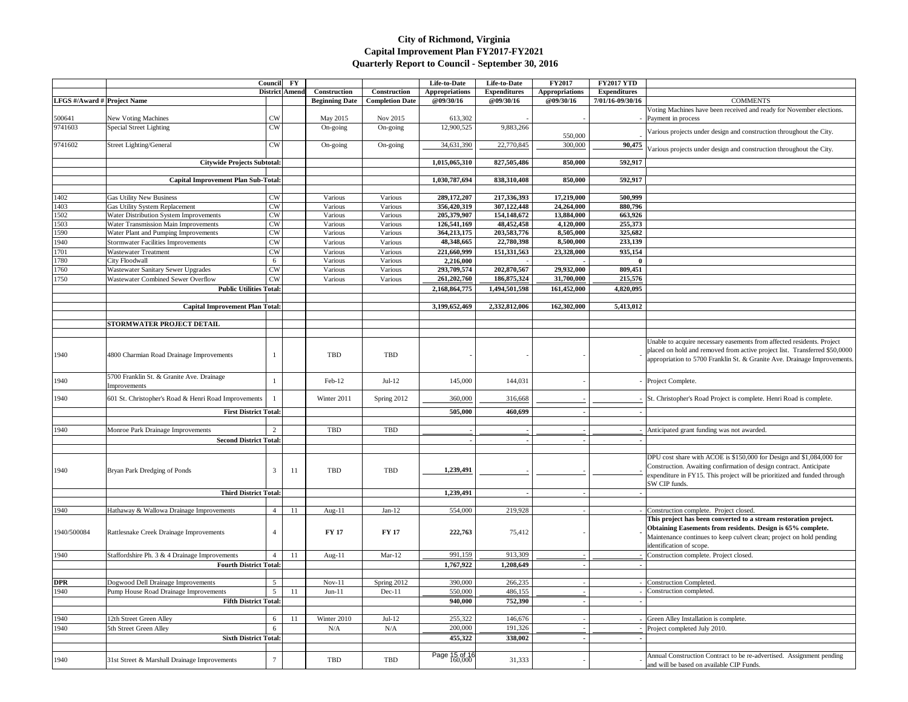|                                    |                                                                                   | Council                | $\mathbf{F}\mathbf{Y}$ |                       |                        | Life-to-Date              | Life-to-Date              | <b>FY2017</b>          | <b>FY2017 YTD</b>   |                                                                       |
|------------------------------------|-----------------------------------------------------------------------------------|------------------------|------------------------|-----------------------|------------------------|---------------------------|---------------------------|------------------------|---------------------|-----------------------------------------------------------------------|
|                                    |                                                                                   |                        | <b>District Ameno</b>  | Construction          | Construction           | <b>Appropriations</b>     | <b>Expenditures</b>       | <b>Appropriations</b>  | <b>Expenditures</b> |                                                                       |
| <b>LFGS</b> #/Award # Project Name |                                                                                   |                        |                        | <b>Beginning Date</b> | <b>Completion Date</b> | @09/30/16                 | @09/30/16                 | @09/30/16              | 7/01/16-09/30/16    | <b>COMMENTS</b>                                                       |
|                                    |                                                                                   |                        |                        |                       |                        |                           |                           |                        |                     | Voting Machines have been received and ready for November election    |
| 500641<br>9741603                  | <b>New Voting Machines</b><br>Special Street Lighting                             | <b>CW</b><br>CW        |                        | May 2015              | Nov 2015<br>On-going   | 613,302<br>12,900,525     | 9,883,266                 |                        |                     | - Payment in process                                                  |
|                                    |                                                                                   |                        |                        | On-going              |                        |                           |                           | 550,000                |                     | Various projects under design and construction throughout the City.   |
| 9741602                            | <b>Street Lighting/General</b>                                                    | CW                     |                        | On-going              | On-going               | 34,631,390                | 22,770,845                | 300,000                | 90,475              |                                                                       |
|                                    |                                                                                   |                        |                        |                       |                        |                           |                           |                        |                     | Various projects under design and construction throughout the City.   |
|                                    | <b>Citywide Projects Subtotal:</b>                                                |                        |                        |                       |                        | 1,015,065,310             | 827,505,486               | 850,000                | 592,917             |                                                                       |
|                                    |                                                                                   |                        |                        |                       |                        |                           |                           |                        |                     |                                                                       |
|                                    | <b>Capital Improvement Plan Sub-Total:</b>                                        |                        |                        |                       |                        | 1,030,787,694             | 838,310,408               | 850,000                | 592,917             |                                                                       |
|                                    |                                                                                   |                        |                        |                       |                        |                           |                           |                        |                     |                                                                       |
| 1402                               | <b>Gas Utility New Business</b>                                                   | CW                     |                        | Various               | Various                | 289,172,207               | 217,336,393               | 17,219,000             | 500,999             |                                                                       |
| 1403                               | <b>Gas Utility System Replacement</b>                                             | <b>CW</b>              |                        | Various               | Various                | 356,420,319               | 307,122,448               | 24,264,000             | 880,796             |                                                                       |
| 1502                               | Water Distribution System Improvements                                            | <b>CW</b>              |                        | Various               | Various                | 205,379,907               | 154,148,672               | 13,884,000             | 663,926             |                                                                       |
| 1503                               | Water Transmission Main Improvements                                              | <b>CW</b>              |                        | Various               | Various<br>Various     | 126,541,169               | 48,452,458                | 4,120,000              | 255,373             |                                                                       |
| 1590                               | Water Plant and Pumping Improvements<br><b>Stormwater Facilities Improvements</b> | <b>CW</b><br><b>CW</b> |                        | Various<br>Various    | Various                | 364,213,175<br>48,348,665 | 203,583,776<br>22,780,398 | 8,505,000<br>8,500,000 | 325,682<br>233,139  |                                                                       |
| 1940                               | <b>Wastewater Treatment</b>                                                       |                        |                        |                       |                        |                           |                           |                        |                     |                                                                       |
| 1701<br>1780                       | City Floodwall                                                                    | CW<br>6                |                        | Various<br>Various    | Various<br>Various     | 221,660,999<br>2,216,000  | 151,331,563               | 23,328,000             | 935,154<br>$\bf{0}$ |                                                                       |
| 1760                               | Wastewater Sanitary Sewer Upgrades                                                | <b>CW</b>              |                        | Various               | Various                | 293,709,574               | 202,870,567               | 29,932,000             | 809,451             |                                                                       |
| 1750                               | Wastewater Combined Sewer Overflow                                                | CW                     |                        | Various               | Various                | 261,202,760               | 186,875,324               | 31,700,000             | 215,576             |                                                                       |
|                                    | <b>Public Utilities Total:</b>                                                    |                        |                        |                       |                        | 2,168,864,775             | 1,494,501,598             | 161,452,000            | 4,820,095           |                                                                       |
|                                    |                                                                                   |                        |                        |                       |                        |                           |                           |                        |                     |                                                                       |
|                                    | <b>Capital Improvement Plan Total:</b>                                            |                        |                        |                       |                        | 3,199,652,469             | 2,332,812,006             | 162,302,000            | 5,413,012           |                                                                       |
|                                    |                                                                                   |                        |                        |                       |                        |                           |                           |                        |                     |                                                                       |
|                                    | <b>STORMWATER PROJECT DETAIL</b>                                                  |                        |                        |                       |                        |                           |                           |                        |                     |                                                                       |
|                                    |                                                                                   |                        |                        |                       |                        |                           |                           |                        |                     |                                                                       |
|                                    |                                                                                   |                        |                        |                       |                        |                           |                           |                        |                     | Unable to acquire necessary easements from affected residents. Proje  |
| 1940                               | 4800 Charmian Road Drainage Improvements                                          |                        |                        | TBD                   | <b>TBD</b>             |                           |                           |                        |                     | placed on hold and removed from active project list. Transferred \$5  |
|                                    |                                                                                   |                        |                        |                       |                        |                           |                           |                        |                     | appropriation to 5700 Franklin St. & Granite Ave. Drainage Improv     |
|                                    |                                                                                   |                        |                        |                       |                        |                           |                           |                        |                     |                                                                       |
| 1940                               | 5700 Franklin St. & Granite Ave. Drainage                                         |                        |                        | Feb-12                | $Jul-12$               | 145,000                   | 144,031                   |                        |                     | - Project Complete.                                                   |
|                                    | Improvements                                                                      |                        |                        |                       |                        |                           |                           |                        |                     |                                                                       |
| 1940                               | 601 St. Christopher's Road & Henri Road Improvements                              |                        |                        | Winter 2011           | Spring 2012            | 360,000                   | 316,668                   |                        |                     | - St. Christopher's Road Project is complete. Henri Road is complete. |
|                                    | <b>First District Total:</b>                                                      |                        |                        |                       |                        | 505,000                   | 460,699                   |                        |                     |                                                                       |
|                                    |                                                                                   |                        |                        |                       |                        |                           |                           |                        |                     |                                                                       |
| 1940                               | Monroe Park Drainage Improvements                                                 | 2                      |                        | <b>TBD</b>            | TBD                    |                           |                           |                        |                     | Anticipated grant funding was not awarded.                            |
|                                    | <b>Second District Total:</b>                                                     |                        |                        |                       |                        |                           |                           |                        |                     |                                                                       |
|                                    |                                                                                   |                        |                        |                       |                        |                           |                           |                        |                     |                                                                       |
|                                    |                                                                                   |                        |                        |                       |                        |                           |                           |                        |                     | DPU cost share with ACOE is \$150,000 for Design and \$1,084,000      |
|                                    |                                                                                   |                        |                        |                       |                        |                           |                           |                        |                     | Construction. Awaiting confirmation of design contract. Anticipate    |
| 1940                               | Bryan Park Dredging of Ponds                                                      | 3                      | -11                    | <b>TBD</b>            | <b>TBD</b>             | 1,239,491                 |                           |                        |                     | expenditure in FY15. This project will be prioritized and funded thro |
|                                    |                                                                                   |                        |                        |                       |                        |                           |                           |                        |                     | SW CIP funds.                                                         |
|                                    | <b>Third District Total:</b>                                                      |                        |                        |                       |                        | 1,239,491                 |                           |                        |                     |                                                                       |
|                                    |                                                                                   |                        |                        |                       |                        |                           |                           |                        |                     |                                                                       |
| 1940                               | Hathaway & Wallowa Drainage Improvements                                          | $\overline{4}$         | 11                     | Aug- $11$             | Jan- $12$              | 554,000                   | 219,928                   |                        |                     | Construction complete. Project closed                                 |
|                                    |                                                                                   |                        |                        |                       |                        |                           |                           |                        |                     | This project has been converted to a stream restoration project.      |
| 1940/500084                        | Rattlesnake Creek Drainage Improvements                                           | $\overline{4}$         |                        | <b>FY 17</b>          | <b>FY 17</b>           | 222,763                   | 75,412                    |                        |                     | Obtaining Easements from residents. Design is 65% complete.           |
|                                    |                                                                                   |                        |                        |                       |                        |                           |                           |                        |                     | Maintenance continues to keep culvert clean; project on hold pendin   |
|                                    |                                                                                   |                        |                        |                       |                        |                           |                           |                        |                     | identification of scope.                                              |
| 1940                               | Staffordshire Ph. 3 & 4 Drainage Improvements                                     | $\overline{4}$         | 11                     | Aug-11                | $Mar-12$               | 991,159                   | 913,309                   |                        |                     | Construction complete. Project closed.                                |
|                                    | <b>Fourth District Total:</b>                                                     |                        |                        |                       |                        | 1,767,922                 | 1,208,649                 |                        |                     |                                                                       |
| <b>DPR</b>                         | Dogwood Dell Drainage Improvements                                                | $5\overline{)}$        |                        | $Nov-11$              | Spring 2012            | 390,000                   | 266,235                   |                        |                     | Construction Completed.                                               |
| 1940                               | Pump House Road Drainage Improvements                                             | 5                      | 11                     | $Jun-11$              | Dec-11                 | 550,000                   | 486,155                   |                        |                     | Construction completed.                                               |
|                                    | <b>Fifth District Total:</b>                                                      |                        |                        |                       |                        | 940,000                   | 752,390                   |                        |                     |                                                                       |
|                                    |                                                                                   |                        |                        |                       |                        |                           |                           |                        |                     |                                                                       |
| 1940                               | 12th Street Green Alley                                                           | 6                      | 11                     | Winter 2010           | $Jul-12$               | 255,322                   | 146,676                   |                        |                     | - Green Alley Installation is complete.                               |
| 1940                               | 5th Street Green Alley                                                            |                        |                        | N/A                   | N/A                    | 200,000                   | 191,326                   |                        |                     | Project completed July 2010.                                          |
|                                    | <b>Sixth District Total:</b>                                                      |                        |                        |                       |                        | 455,322                   | 338,002                   |                        |                     |                                                                       |
|                                    |                                                                                   |                        |                        |                       |                        |                           |                           |                        |                     |                                                                       |
|                                    |                                                                                   |                        |                        |                       |                        | Page 15 of 16<br>160,000  |                           |                        |                     | Annual Construction Contract to be re-advertised. Assignment pend     |
| 1940                               | 31st Street & Marshall Drainage Improvements                                      | 7                      |                        | TBD                   | TBD                    |                           | 31,333                    |                        |                     | and will be based on available CIP Funds.                             |

| ' YTD            |                                                                                            |
|------------------|--------------------------------------------------------------------------------------------|
| litures          |                                                                                            |
| 9/30/16          | <b>COMMENTS</b>                                                                            |
|                  | Voting Machines have been received and ready for November elections.<br>Payment in process |
|                  | Various projects under design and construction throughout the City.                        |
| 90,475           | Various projects under design and construction throughout the City.                        |
| 592,917          |                                                                                            |
|                  |                                                                                            |
| 592,917          |                                                                                            |
| 500,999          |                                                                                            |
| 880,796          |                                                                                            |
| 663,926          |                                                                                            |
| 255,373          |                                                                                            |
| 325,682          |                                                                                            |
| 233,139          |                                                                                            |
| 935,154          |                                                                                            |
| $\boldsymbol{0}$ |                                                                                            |
| 809,451          |                                                                                            |
| 215,576          |                                                                                            |
| 820,095          |                                                                                            |
|                  |                                                                                            |
| 413,012          |                                                                                            |
|                  |                                                                                            |
|                  |                                                                                            |
|                  |                                                                                            |
|                  | Unable to acquire necessary easements from affected residents. Project                     |
|                  | placed on hold and removed from active project list. Transferred \$50,0000                 |
|                  | appropriation to 5700 Franklin St. & Granite Ave. Drainage Improvements.                   |
|                  |                                                                                            |
| ٠                | Project Complete.                                                                          |
|                  | St. Christopher's Road Project is complete. Henri Road is complete.                        |
|                  |                                                                                            |
|                  |                                                                                            |
|                  |                                                                                            |
|                  | Anticipated grant funding was not awarded.                                                 |
|                  |                                                                                            |
|                  |                                                                                            |
|                  | DPU cost share with ACOE is \$150,000 for Design and \$1,084,000 for                       |
|                  | Construction. Awaiting confirmation of design contract. Anticipate                         |
|                  | expenditure in FY15. This project will be prioritized and funded through                   |
| ٠                | SW CIP funds.                                                                              |
|                  |                                                                                            |
| ÷,               | Construction complete. Project closed.                                                     |
|                  | This project has been converted to a stream restoration project.                           |
|                  | Obtaining Easements from residents. Design is 65% complete.                                |
|                  | Maintenance continues to keep culvert clean; project on hold pending                       |
|                  | identification of scope.                                                                   |
| ÷                | Construction complete. Project closed.                                                     |
| ٠                |                                                                                            |
|                  |                                                                                            |
| $\overline{a}$   | Construction Completed.                                                                    |
|                  | Construction completed.                                                                    |
|                  |                                                                                            |
|                  |                                                                                            |
| -                | Green Alley Installation is complete.                                                      |
|                  | Project completed July 2010.                                                               |
| ٠                |                                                                                            |
|                  |                                                                                            |
|                  | Annual Construction Contract to be re-advertised. Assignment pending                       |
|                  | and will be based on available CIP Funds.                                                  |